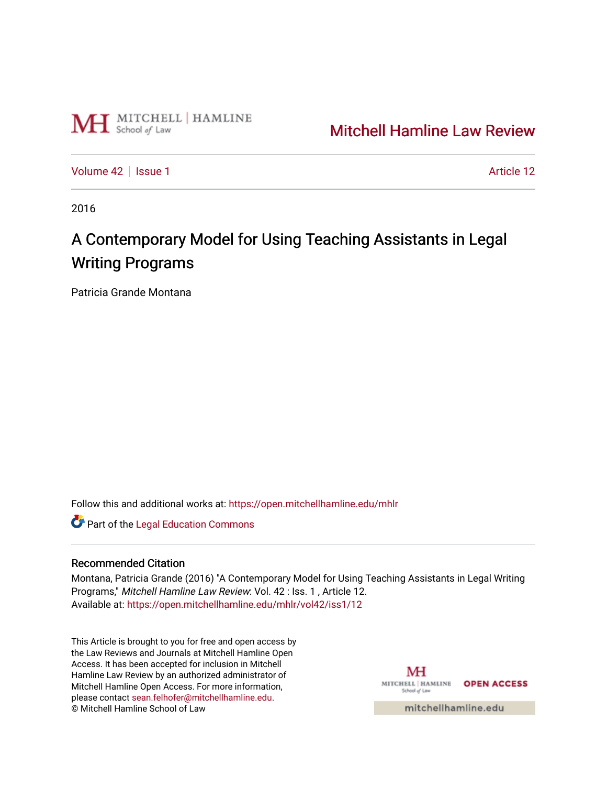

## [Mitchell Hamline Law Review](https://open.mitchellhamline.edu/mhlr)

[Volume 42](https://open.mitchellhamline.edu/mhlr/vol42) | [Issue 1](https://open.mitchellhamline.edu/mhlr/vol42/iss1) Article 12

2016

# A Contemporary Model for Using Teaching Assistants in Legal Writing Programs

Patricia Grande Montana

Follow this and additional works at: [https://open.mitchellhamline.edu/mhlr](https://open.mitchellhamline.edu/mhlr?utm_source=open.mitchellhamline.edu%2Fmhlr%2Fvol42%2Fiss1%2F12&utm_medium=PDF&utm_campaign=PDFCoverPages) 

**Part of the Legal Education Commons** 

## Recommended Citation

Montana, Patricia Grande (2016) "A Contemporary Model for Using Teaching Assistants in Legal Writing Programs," Mitchell Hamline Law Review: Vol. 42 : Iss. 1 , Article 12. Available at: [https://open.mitchellhamline.edu/mhlr/vol42/iss1/12](https://open.mitchellhamline.edu/mhlr/vol42/iss1/12?utm_source=open.mitchellhamline.edu%2Fmhlr%2Fvol42%2Fiss1%2F12&utm_medium=PDF&utm_campaign=PDFCoverPages)

This Article is brought to you for free and open access by the Law Reviews and Journals at Mitchell Hamline Open Access. It has been accepted for inclusion in Mitchell Hamline Law Review by an authorized administrator of Mitchell Hamline Open Access. For more information, please contact [sean.felhofer@mitchellhamline.edu.](mailto:sean.felhofer@mitchellhamline.edu) © Mitchell Hamline School of Law

MH MITCHELL | HAMLINE OPEN ACCESS School of Law

mitchellhamline.edu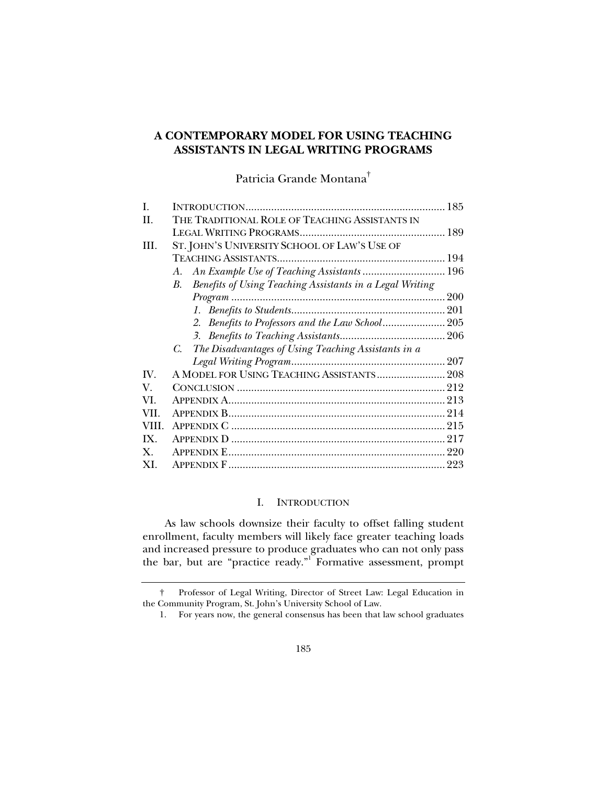## **A CONTEMPORARY MODEL FOR USING TEACHING ASSISTANTS IN LEGAL WRITING PROGRAMS**

Patricia Grande Montana†

| L              |                                                                |  |
|----------------|----------------------------------------------------------------|--|
| H.             | THE TRADITIONAL ROLE OF TEACHING ASSISTANTS IN                 |  |
|                |                                                                |  |
| III.           | ST. JOHN'S UNIVERSITY SCHOOL OF LAW'S USE OF                   |  |
|                |                                                                |  |
|                | An Example Use of Teaching Assistants  196<br>А.               |  |
|                | Benefits of Using Teaching Assistants in a Legal Writing<br>В. |  |
|                |                                                                |  |
|                |                                                                |  |
|                | 2. Benefits to Professors and the Law School 205               |  |
|                |                                                                |  |
|                | C. The Disadvantages of Using Teaching Assistants in a         |  |
|                |                                                                |  |
| IV.            | A MODEL FOR USING TEACHING ASSISTANTS 208                      |  |
| V.             |                                                                |  |
| VI             |                                                                |  |
| VII.           |                                                                |  |
| VIII           |                                                                |  |
| IX.            |                                                                |  |
| $\mathbf{X}$ . |                                                                |  |
| XI.            |                                                                |  |

## I. INTRODUCTION

As law schools downsize their faculty to offset falling student enrollment, faculty members will likely face greater teaching loads and increased pressure to produce graduates who can not only pass the bar, but are "practice ready."<sup>I</sup> Formative assessment, prompt

 <sup>†</sup> Professor of Legal Writing, Director of Street Law: Legal Education in the Community Program, St. John's University School of Law.

 <sup>1.</sup> For years now, the general consensus has been that law school graduates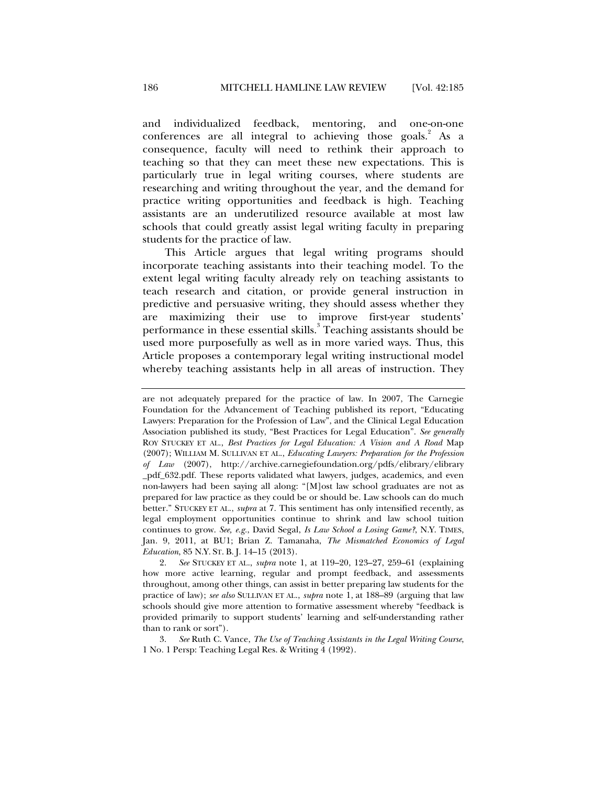and individualized feedback, mentoring, and one-on-one conferences are all integral to achieving those goals. $2$  As a consequence, faculty will need to rethink their approach to teaching so that they can meet these new expectations. This is particularly true in legal writing courses, where students are researching and writing throughout the year, and the demand for practice writing opportunities and feedback is high. Teaching assistants are an underutilized resource available at most law schools that could greatly assist legal writing faculty in preparing students for the practice of law.

This Article argues that legal writing programs should incorporate teaching assistants into their teaching model. To the extent legal writing faculty already rely on teaching assistants to teach research and citation, or provide general instruction in predictive and persuasive writing, they should assess whether they are maximizing their use to improve first-year students' performance in these essential skills.<sup>3</sup> Teaching assistants should be used more purposefully as well as in more varied ways. Thus, this Article proposes a contemporary legal writing instructional model whereby teaching assistants help in all areas of instruction. They

 3. *See* Ruth C. Vance, *The Use of Teaching Assistants in the Legal Writing Course*, 1 No. 1 Persp: Teaching Legal Res. & Writing 4 (1992).

are not adequately prepared for the practice of law. In 2007, The Carnegie Foundation for the Advancement of Teaching published its report, "Educating Lawyers: Preparation for the Profession of Law", and the Clinical Legal Education Association published its study, "Best Practices for Legal Education". *See generally* ROY STUCKEY ET AL., *Best Practices for Legal Education: A Vision and A Road* Map (2007); WILLIAM M. SULLIVAN ET AL., *Educating Lawyers: Preparation for the Profession of Law* (2007), http://archive.carnegiefoundation.org/pdfs/elibrary/elibrary \_pdf\_632.pdf. These reports validated what lawyers, judges, academics, and even non-lawyers had been saying all along: "[M]ost law school graduates are not as prepared for law practice as they could be or should be. Law schools can do much better." STUCKEY ET AL., *supra* at 7. This sentiment has only intensified recently, as legal employment opportunities continue to shrink and law school tuition continues to grow. *See, e.g.*, David Segal, *Is Law School a Losing Game?*, N.Y. TIMES, Jan. 9, 2011, at BU1; Brian Z. Tamanaha, *The Mismatched Economics of Legal Education*, 85 N.Y. ST. B. J. 14–15 (2013).

 <sup>2.</sup> *See* STUCKEY ET AL., *supra* note 1, at 119–20, 123–27, 259–61 (explaining how more active learning, regular and prompt feedback, and assessments throughout, among other things, can assist in better preparing law students for the practice of law); *see also* SULLIVAN ET AL., *supra* note 1, at 188–89 (arguing that law schools should give more attention to formative assessment whereby "feedback is provided primarily to support students' learning and self-understanding rather than to rank or sort").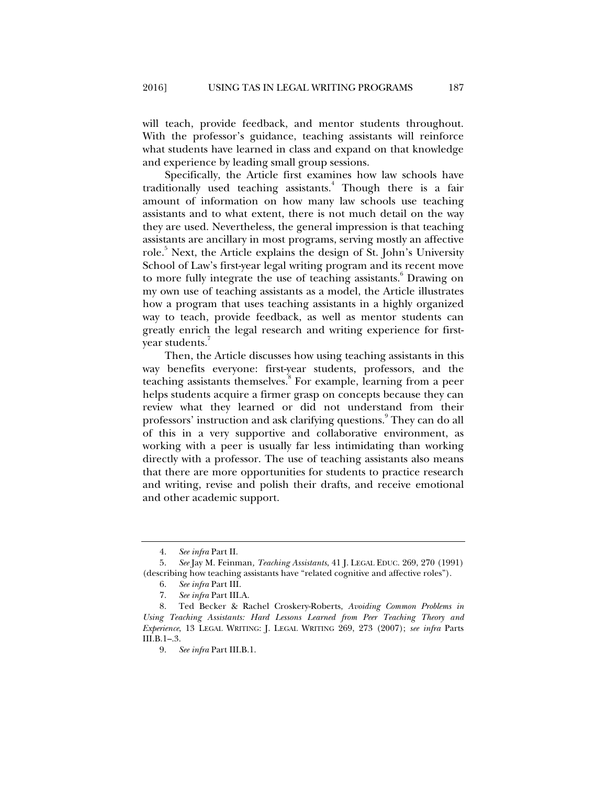will teach, provide feedback, and mentor students throughout. With the professor's guidance, teaching assistants will reinforce what students have learned in class and expand on that knowledge and experience by leading small group sessions.

Specifically, the Article first examines how law schools have traditionally used teaching assistants.<sup>4</sup> Though there is a fair amount of information on how many law schools use teaching assistants and to what extent, there is not much detail on the way they are used. Nevertheless, the general impression is that teaching assistants are ancillary in most programs, serving mostly an affective role.<sup>5</sup> Next, the Article explains the design of St. John's University School of Law's first-year legal writing program and its recent move to more fully integrate the use of teaching assistants.<sup>6</sup> Drawing on my own use of teaching assistants as a model, the Article illustrates how a program that uses teaching assistants in a highly organized way to teach, provide feedback, as well as mentor students can greatly enrich the legal research and writing experience for firstyear students.<sup>7</sup>

Then, the Article discusses how using teaching assistants in this way benefits everyone: first-year students, professors, and the teaching assistants themselves.<sup>8</sup> For example, learning from a peer helps students acquire a firmer grasp on concepts because they can review what they learned or did not understand from their professors' instruction and ask clarifying questions.<sup>9</sup> They can do all of this in a very supportive and collaborative environment, as working with a peer is usually far less intimidating than working directly with a professor. The use of teaching assistants also means that there are more opportunities for students to practice research and writing, revise and polish their drafts, and receive emotional and other academic support.

 <sup>4.</sup> *See infra* Part II.

 <sup>5.</sup> *See* Jay M. Feinman*, Teaching Assistants*, 41 J. LEGAL EDUC. 269, 270 (1991) (describing how teaching assistants have "related cognitive and affective roles").

 <sup>6.</sup> *See infra* Part III.

 <sup>7.</sup> *See infra* Part III.A.

 <sup>8.</sup> Ted Becker & Rachel Croskery-Roberts, *Avoiding Common Problems in Using Teaching Assistants: Hard Lessons Learned from Peer Teaching Theory and Experience*, 13 LEGAL WRITING: J. LEGAL WRITING 269, 273 (2007); *see infra* Parts III.B.1–.3.

 <sup>9.</sup> *See infra* Part III.B.1.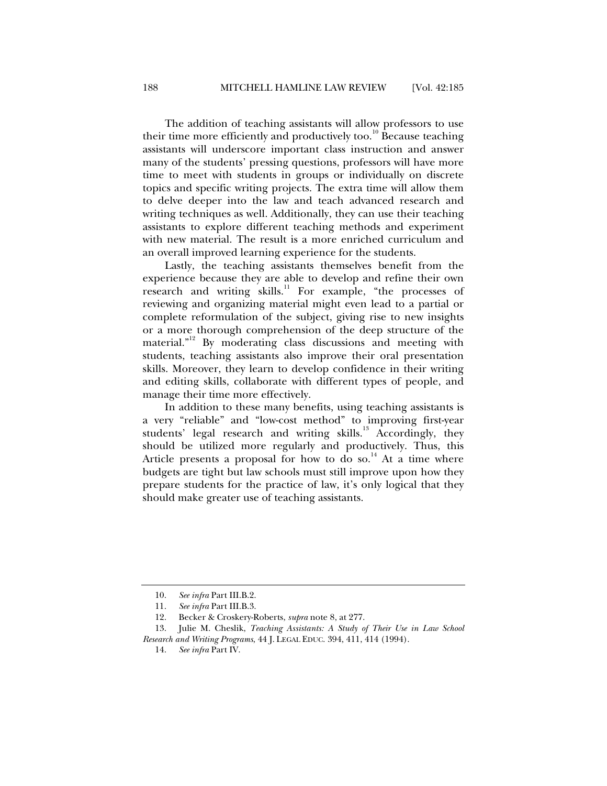The addition of teaching assistants will allow professors to use their time more efficiently and productively too.<sup>10</sup> Because teaching assistants will underscore important class instruction and answer many of the students' pressing questions, professors will have more time to meet with students in groups or individually on discrete topics and specific writing projects. The extra time will allow them to delve deeper into the law and teach advanced research and writing techniques as well. Additionally, they can use their teaching assistants to explore different teaching methods and experiment with new material. The result is a more enriched curriculum and an overall improved learning experience for the students.

Lastly, the teaching assistants themselves benefit from the experience because they are able to develop and refine their own research and writing  $\sinh^{-1}$  For example, "the processes of reviewing and organizing material might even lead to a partial or complete reformulation of the subject, giving rise to new insights or a more thorough comprehension of the deep structure of the material."12 By moderating class discussions and meeting with students, teaching assistants also improve their oral presentation skills. Moreover, they learn to develop confidence in their writing and editing skills, collaborate with different types of people, and manage their time more effectively.

In addition to these many benefits, using teaching assistants is a very "reliable" and "low-cost method" to improving first-year students' legal research and writing skills.<sup>13</sup> Accordingly, they should be utilized more regularly and productively. Thus, this Article presents a proposal for how to do so.<sup>14</sup> At a time where budgets are tight but law schools must still improve upon how they prepare students for the practice of law, it's only logical that they should make greater use of teaching assistants.

 <sup>10.</sup> *See infra* Part III.B.2.

 <sup>11.</sup> *See infra* Part III.B.3.

 <sup>12.</sup> Becker & Croskery-Roberts, *supra* note 8, at 277.

 <sup>13.</sup> Julie M. Cheslik, *Teaching Assistants: A Study of Their Use in Law School Research and Writing Programs*, 44 J. LEGAL EDUC. 394, 411, 414 (1994).

 <sup>14.</sup> *See infra* Part IV.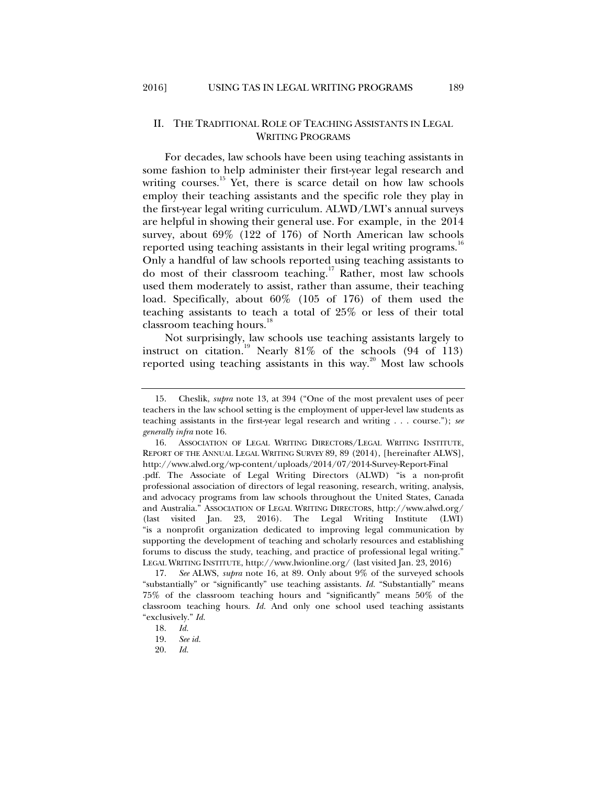#### II. THE TRADITIONAL ROLE OF TEACHING ASSISTANTS IN LEGAL WRITING PROGRAMS

For decades, law schools have been using teaching assistants in some fashion to help administer their first-year legal research and writing courses.<sup>15</sup> Yet, there is scarce detail on how law schools employ their teaching assistants and the specific role they play in the first-year legal writing curriculum. ALWD/LWI's annual surveys are helpful in showing their general use. For example, in the 2014 survey, about 69% (122 of 176) of North American law schools reported using teaching assistants in their legal writing programs.<sup>16</sup> Only a handful of law schools reported using teaching assistants to do most of their classroom teaching.<sup>17</sup> Rather, most law schools used them moderately to assist, rather than assume, their teaching load. Specifically, about 60% (105 of 176) of them used the teaching assistants to teach a total of 25% or less of their total classroom teaching hours.<sup>1</sup>

Not surprisingly, law schools use teaching assistants largely to instruct on citation.<sup>19</sup> Nearly 81% of the schools  $(94 \text{ of } 113)$ reported using teaching assistants in this way. $20$  Most law schools

 <sup>15.</sup> Cheslik, *supra* note 13, at 394 ("One of the most prevalent uses of peer teachers in the law school setting is the employment of upper-level law students as teaching assistants in the first-year legal research and writing . . . course."); *see generally infra* note 16.

 <sup>16.</sup> ASSOCIATION OF LEGAL WRITING DIRECTORS/LEGAL WRITING INSTITUTE, REPORT OF THE ANNUAL LEGAL WRITING SURVEY 89, 89 (2014), [hereinafter ALWS], http://www.alwd.org/wp-content/uploads/2014/07/2014-Survey-Report-Final .pdf. The Associate of Legal Writing Directors (ALWD) "is a non-profit professional association of directors of legal reasoning, research, writing, analysis, and advocacy programs from law schools throughout the United States, Canada and Australia." ASSOCIATION OF LEGAL WRITING DIRECTORS, http://www.alwd.org/ (last visited Jan. 23, 2016). The Legal Writing Institute (LWI) "is a nonprofit organization dedicated to improving legal communication by supporting the development of teaching and scholarly resources and establishing forums to discuss the study, teaching, and practice of professional legal writing." LEGAL WRITING INSTITUTE, http://www.lwionline.org/ (last visited Jan. 23, 2016)

 <sup>17.</sup> *See* ALWS, *supra* note 16, at 89. Only about 9% of the surveyed schools "substantially" or "significantly" use teaching assistants. *Id.* "Substantially" means 75% of the classroom teaching hours and "significantly" means 50% of the classroom teaching hours. *Id.* And only one school used teaching assistants "exclusively." *Id.*

 <sup>18.</sup> *Id.*

 <sup>19.</sup> *See id.* 

 <sup>20.</sup> *Id.*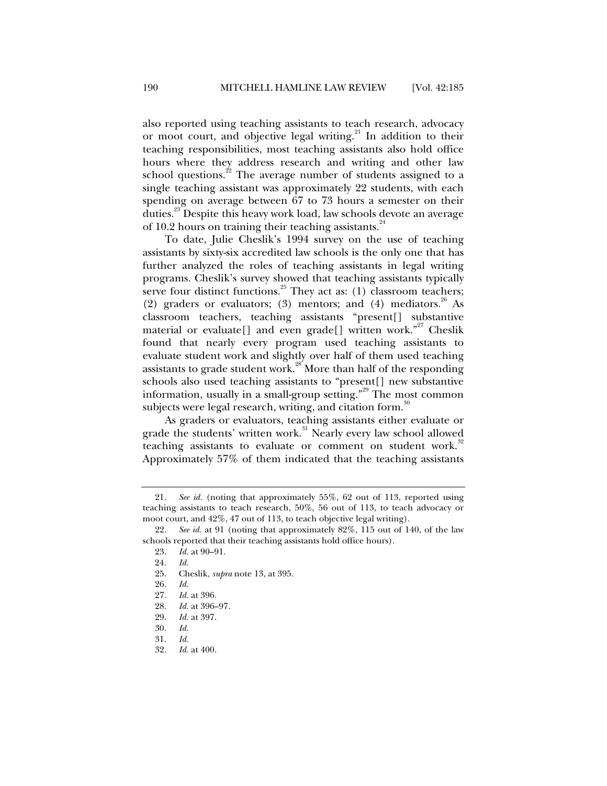also reported using teaching assistants to teach research, advocacy or moot court, and objective legal writing.<sup>21</sup> In addition to their teaching responsibilities, most teaching assistants also hold office hours where they address research and writing and other law school questions.<sup>22</sup> The average number of students assigned to a single teaching assistant was approximately 22 students, with each spending on average between 67 to 73 hours a semester on their duties.23 Despite this heavy work load, law schools devote an average of 10.2 hours on training their teaching assistants.<sup>24</sup>

To date, Julie Cheslik's 1994 survey on the use of teaching assistants by sixty-six accredited law schools is the only one that has further analyzed the roles of teaching assistants in legal writing programs. Cheslik's survey showed that teaching assistants typically serve four distinct functions.<sup>25</sup> They act as: (1) classroom teachers; (2) graders or evaluators; (3) mentors; and (4) mediators.<sup>26</sup> As classroom teachers, teaching assistants "present[] substantive material or evaluate<sup>[]</sup> and even grade<sup>[]</sup> written work."<sup>27</sup> Cheslik found that nearly every program used teaching assistants to evaluate student work and slightly over half of them used teaching assistants to grade student work.<sup>28</sup> More than half of the responding schools also used teaching assistants to "present[] new substantive information, usually in a small-group setting.<sup> $29$ </sup> The most common subjects were legal research, writing, and citation form.<sup>30</sup>

As graders or evaluators, teaching assistants either evaluate or grade the students' written work.<sup>31</sup> Nearly every law school allowed teaching assistants to evaluate or comment on student work. $32$ Approximately 57% of them indicated that the teaching assistants

 <sup>21.</sup> *See id.* (noting that approximately 55%, 62 out of 113, reported using teaching assistants to teach research, 50%, 56 out of 113, to teach advocacy or moot court, and 42%, 47 out of 113, to teach objective legal writing).

 <sup>22.</sup> *See id.* at 91 (noting that approximately 82%, 115 out of 140, of the law schools reported that their teaching assistants hold office hours).

 <sup>23.</sup> *Id.* at 90–91.

<sup>24</sup>*. Id.*

 <sup>25.</sup> Cheslik, *supra* note 13, at 395.

 <sup>26.</sup> *Id.* 

 <sup>27.</sup> *Id.* at 396.

 <sup>28.</sup> *Id.* at 396–97.

 <sup>29.</sup> *Id.* at 397.

 <sup>30.</sup> *Id.*

 <sup>31.</sup> *Id.*

 <sup>32.</sup> *Id.* at 400.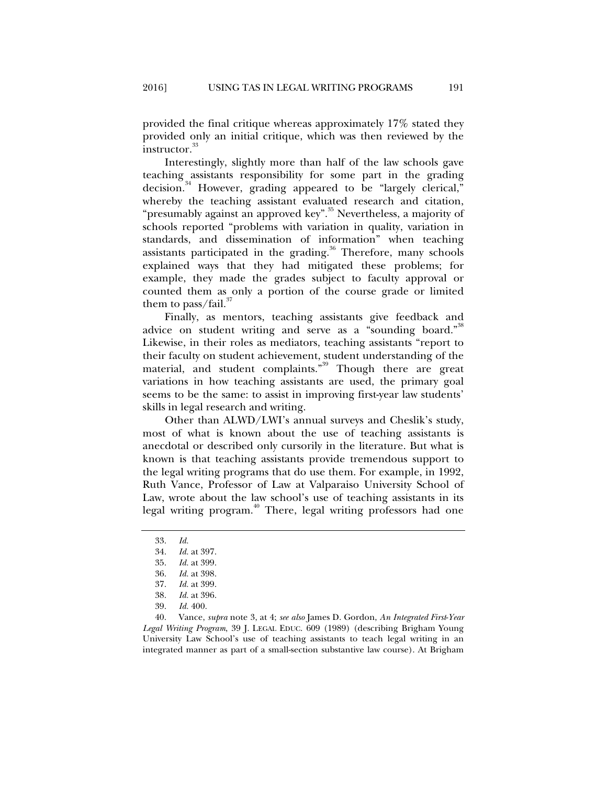provided the final critique whereas approximately 17% stated they provided only an initial critique, which was then reviewed by the instructor.<sup>33</sup>

Interestingly, slightly more than half of the law schools gave teaching assistants responsibility for some part in the grading decision.<sup>34</sup> However, grading appeared to be "largely clerical," whereby the teaching assistant evaluated research and citation, "presumably against an approved key".<sup>35</sup> Nevertheless, a majority of schools reported "problems with variation in quality, variation in standards, and dissemination of information" when teaching assistants participated in the grading.<sup>36</sup> Therefore, many schools explained ways that they had mitigated these problems; for example, they made the grades subject to faculty approval or counted them as only a portion of the course grade or limited them to pass/fail. $\overline{3}$ 

Finally, as mentors, teaching assistants give feedback and advice on student writing and serve as a "sounding board."<sup>38</sup> Likewise, in their roles as mediators, teaching assistants "report to their faculty on student achievement, student understanding of the material, and student complaints."<sup>39</sup> Though there are great variations in how teaching assistants are used, the primary goal seems to be the same: to assist in improving first-year law students' skills in legal research and writing.

Other than ALWD/LWI's annual surveys and Cheslik's study, most of what is known about the use of teaching assistants is anecdotal or described only cursorily in the literature. But what is known is that teaching assistants provide tremendous support to the legal writing programs that do use them. For example, in 1992, Ruth Vance, Professor of Law at Valparaiso University School of Law, wrote about the law school's use of teaching assistants in its legal writing program.<sup>40</sup> There, legal writing professors had one

 40. Vance, *supra* note 3, at 4; *see also* James D. Gordon, *An Integrated First*-*Year Legal Writing Program*, 39 J. LEGAL EDUC. 609 (1989) (describing Brigham Young University Law School's use of teaching assistants to teach legal writing in an integrated manner as part of a small-section substantive law course). At Brigham

 <sup>33.</sup> *Id.*

 <sup>34.</sup> *Id.* at 397.

 <sup>35.</sup> *Id.* at 399.

 <sup>36.</sup> *Id.* at 398.

 <sup>37.</sup> *Id.* at 399.

 <sup>38.</sup> *Id.* at 396.

 <sup>39.</sup> *Id.* 400.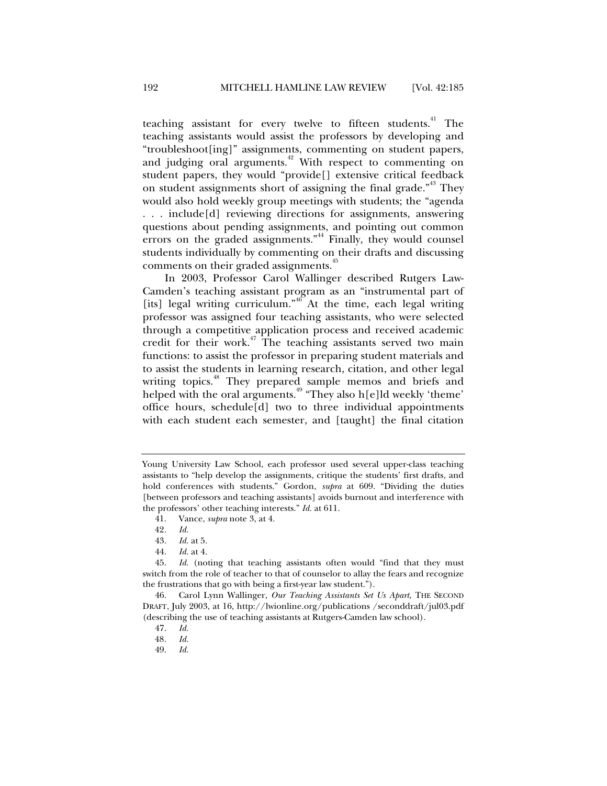teaching assistant for every twelve to fifteen students.<sup>41</sup> The teaching assistants would assist the professors by developing and "troubleshoot[ing]" assignments, commenting on student papers, and judging oral arguments.<sup>42</sup> With respect to commenting on student papers, they would "provide[] extensive critical feedback on student assignments short of assigning the final grade."<sup>43</sup> They would also hold weekly group meetings with students; the "agenda . . . include[d] reviewing directions for assignments, answering questions about pending assignments, and pointing out common errors on the graded assignments."<sup>44</sup> Finally, they would counsel students individually by commenting on their drafts and discussing comments on their graded assignments.<sup>45</sup>

In 2003, Professor Carol Wallinger described Rutgers Law-Camden's teaching assistant program as an "instrumental part of [its] legal writing curriculum."<sup>46</sup> At the time, each legal writing professor was assigned four teaching assistants, who were selected through a competitive application process and received academic credit for their work.<sup>47</sup> The teaching assistants served two main functions: to assist the professor in preparing student materials and to assist the students in learning research, citation, and other legal writing topics.<sup>48</sup> They prepared sample memos and briefs and helped with the oral arguments.<sup> $49$ </sup> "They also h[e]ld weekly 'theme' office hours, schedule[d] two to three individual appointments with each student each semester, and [taught] the final citation

44. *Id.* at 4.

Young University Law School, each professor used several upper-class teaching assistants to "help develop the assignments, critique the students' first drafts, and hold conferences with students." Gordon, *supra* at 609. "Dividing the duties [between professors and teaching assistants] avoids burnout and interference with the professors' other teaching interests." *Id.* at 611.

 <sup>41.</sup> Vance, *supra* note 3, at 4.

<sup>42</sup>*. Id.*

*Id.* at 5.

 <sup>45.</sup> *Id.* (noting that teaching assistants often would "find that they must switch from the role of teacher to that of counselor to allay the fears and recognize the frustrations that go with being a first-year law student.").

 <sup>46.</sup> Carol Lynn Wallinger, *Our Teaching Assistants Set Us Apart*, THE SECOND DRAFT, July 2003, at 16, http://lwionline.org/publications /seconddraft/jul03.pdf (describing the use of teaching assistants at Rutgers-Camden law school).

 <sup>47.</sup> *Id.*

<sup>48</sup>*. Id.* 

 <sup>49.</sup> *Id.*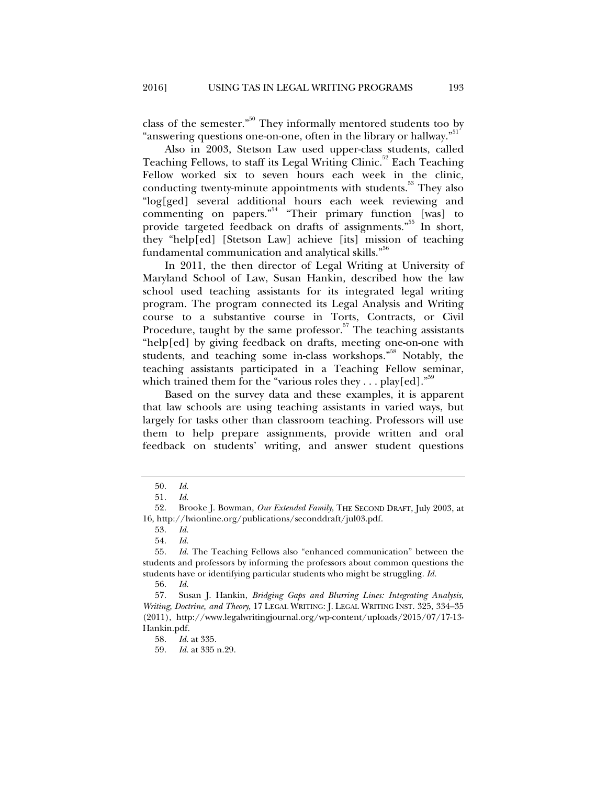class of the semester."<sup>50</sup> They informally mentored students too by "answering questions one-on-one, often in the library or hallway."<sup>51</sup>

Also in 2003, Stetson Law used upper-class students, called Teaching Fellows, to staff its Legal Writing Clinic.<sup>52</sup> Each Teaching Fellow worked six to seven hours each week in the clinic, conducting twenty-minute appointments with students.<sup>53</sup> They also "log[ged] several additional hours each week reviewing and commenting on papers."<sup>54</sup> "Their primary function [was] to provide targeted feedback on drafts of assignments."<sup>55</sup> In short, they "help[ed] [Stetson Law] achieve [its] mission of teaching fundamental communication and analytical skills."<sup>56</sup>

In 2011, the then director of Legal Writing at University of Maryland School of Law, Susan Hankin, described how the law school used teaching assistants for its integrated legal writing program. The program connected its Legal Analysis and Writing course to a substantive course in Torts, Contracts, or Civil Procedure, taught by the same professor. $57$  The teaching assistants "help[ed] by giving feedback on drafts, meeting one-on-one with students, and teaching some in-class workshops.<sup>"58</sup> Notably, the teaching assistants participated in a Teaching Fellow seminar, which trained them for the "various roles they ... play[ed]."<sup>59</sup>

Based on the survey data and these examples, it is apparent that law schools are using teaching assistants in varied ways, but largely for tasks other than classroom teaching. Professors will use them to help prepare assignments, provide written and oral feedback on students' writing, and answer student questions

54. *Id.*

58. *Id.* at 335.

59. *Id.* at 335 n.29.

 <sup>50.</sup> *Id.*

 <sup>51.</sup> *Id.*

 <sup>52.</sup> Brooke J. Bowman, *Our Extended Family*, THE SECOND DRAFT, July 2003, at 16, http://lwionline.org/publications/seconddraft/jul03.pdf.

 <sup>53.</sup> *Id.*

 <sup>55.</sup> *Id.* The Teaching Fellows also "enhanced communication" between the students and professors by informing the professors about common questions the students have or identifying particular students who might be struggling. *Id.*

 <sup>56.</sup> *Id.* 

 <sup>57.</sup> Susan J. Hankin, *Bridging Gaps and Blurring Lines: Integrating Analysis, Writing, Doctrine, and Theory*, 17 LEGAL WRITING: J. LEGAL WRITING INST. 325, 334–35 (2011), http://www.legalwritingjournal.org/wp-content/uploads/2015/07/17-13- Hankin.pdf.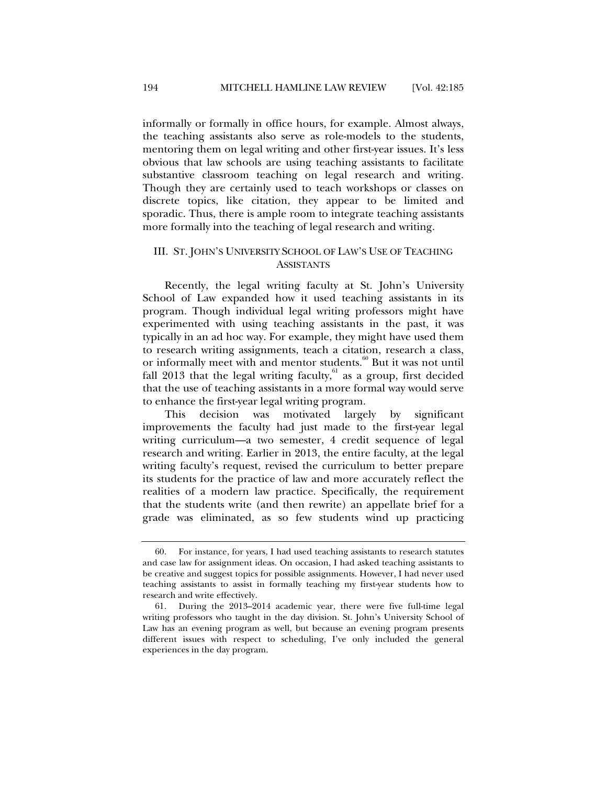informally or formally in office hours, for example. Almost always, the teaching assistants also serve as role-models to the students, mentoring them on legal writing and other first-year issues. It's less obvious that law schools are using teaching assistants to facilitate substantive classroom teaching on legal research and writing. Though they are certainly used to teach workshops or classes on discrete topics, like citation, they appear to be limited and sporadic. Thus, there is ample room to integrate teaching assistants more formally into the teaching of legal research and writing.

## III. ST. JOHN'S UNIVERSITY SCHOOL OF LAW'S USE OF TEACHING **ASSISTANTS**

Recently, the legal writing faculty at St. John's University School of Law expanded how it used teaching assistants in its program. Though individual legal writing professors might have experimented with using teaching assistants in the past, it was typically in an ad hoc way. For example, they might have used them to research writing assignments, teach a citation, research a class, or informally meet with and mentor students.<sup>60</sup> But it was not until fall 2013 that the legal writing faculty, $61$  as a group, first decided that the use of teaching assistants in a more formal way would serve to enhance the first-year legal writing program.

This decision was motivated largely by significant improvements the faculty had just made to the first-year legal writing curriculum—a two semester, 4 credit sequence of legal research and writing. Earlier in 2013, the entire faculty, at the legal writing faculty's request, revised the curriculum to better prepare its students for the practice of law and more accurately reflect the realities of a modern law practice. Specifically, the requirement that the students write (and then rewrite) an appellate brief for a grade was eliminated, as so few students wind up practicing

 <sup>60.</sup> For instance, for years, I had used teaching assistants to research statutes and case law for assignment ideas. On occasion, I had asked teaching assistants to be creative and suggest topics for possible assignments. However, I had never used teaching assistants to assist in formally teaching my first-year students how to research and write effectively.

 <sup>61.</sup> During the 2013–2014 academic year, there were five full-time legal writing professors who taught in the day division. St. John's University School of Law has an evening program as well, but because an evening program presents different issues with respect to scheduling, I've only included the general experiences in the day program.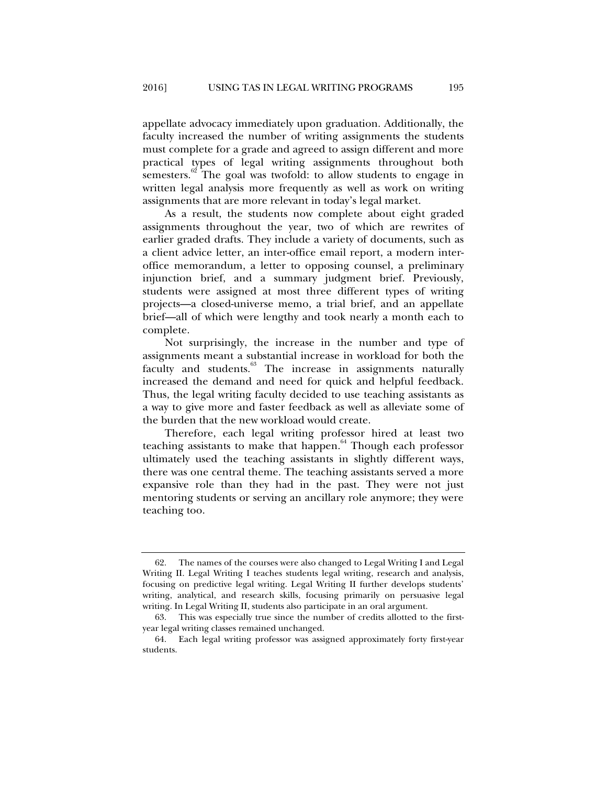appellate advocacy immediately upon graduation. Additionally, the faculty increased the number of writing assignments the students must complete for a grade and agreed to assign different and more practical types of legal writing assignments throughout both semesters.<sup>62</sup> The goal was twofold: to allow students to engage in written legal analysis more frequently as well as work on writing assignments that are more relevant in today's legal market.

As a result, the students now complete about eight graded assignments throughout the year, two of which are rewrites of earlier graded drafts. They include a variety of documents, such as a client advice letter, an inter-office email report, a modern interoffice memorandum, a letter to opposing counsel, a preliminary injunction brief, and a summary judgment brief. Previously, students were assigned at most three different types of writing projects—a closed-universe memo, a trial brief, and an appellate brief—all of which were lengthy and took nearly a month each to complete.

Not surprisingly, the increase in the number and type of assignments meant a substantial increase in workload for both the faculty and students.<sup>63</sup> The increase in assignments naturally increased the demand and need for quick and helpful feedback. Thus, the legal writing faculty decided to use teaching assistants as a way to give more and faster feedback as well as alleviate some of the burden that the new workload would create.

Therefore, each legal writing professor hired at least two teaching assistants to make that happen.<sup>64</sup> Though each professor ultimately used the teaching assistants in slightly different ways, there was one central theme. The teaching assistants served a more expansive role than they had in the past. They were not just mentoring students or serving an ancillary role anymore; they were teaching too.

 <sup>62.</sup> The names of the courses were also changed to Legal Writing I and Legal Writing II. Legal Writing I teaches students legal writing, research and analysis, focusing on predictive legal writing. Legal Writing II further develops students' writing, analytical, and research skills, focusing primarily on persuasive legal writing. In Legal Writing II, students also participate in an oral argument.

 <sup>63.</sup> This was especially true since the number of credits allotted to the firstyear legal writing classes remained unchanged.

 <sup>64.</sup> Each legal writing professor was assigned approximately forty first-year students.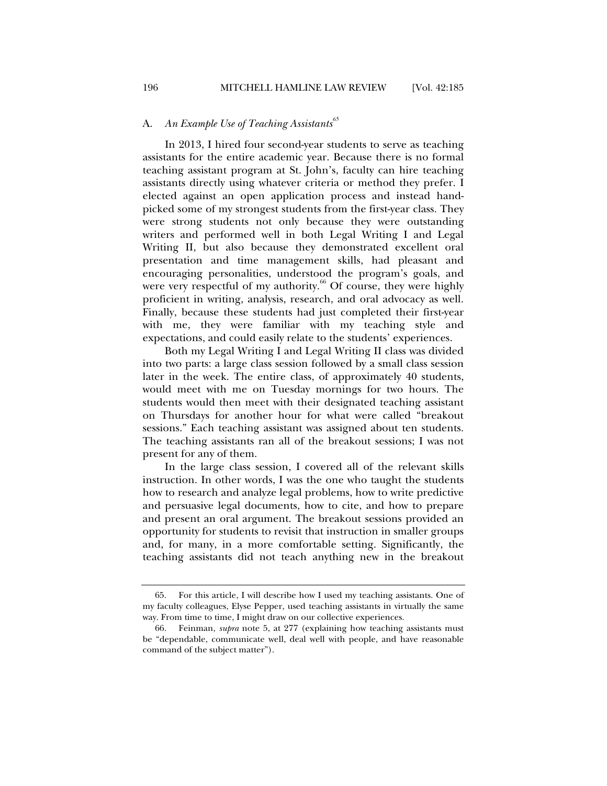## A. An Example Use of Teaching Assistants<sup>65</sup>

In 2013, I hired four second-year students to serve as teaching assistants for the entire academic year. Because there is no formal teaching assistant program at St. John's, faculty can hire teaching assistants directly using whatever criteria or method they prefer. I elected against an open application process and instead handpicked some of my strongest students from the first-year class. They were strong students not only because they were outstanding writers and performed well in both Legal Writing I and Legal Writing II, but also because they demonstrated excellent oral presentation and time management skills, had pleasant and encouraging personalities, understood the program's goals, and were very respectful of my authority.<sup>66</sup> Of course, they were highly proficient in writing, analysis, research, and oral advocacy as well. Finally, because these students had just completed their first-year with me, they were familiar with my teaching style and expectations, and could easily relate to the students' experiences.

Both my Legal Writing I and Legal Writing II class was divided into two parts: a large class session followed by a small class session later in the week. The entire class, of approximately 40 students, would meet with me on Tuesday mornings for two hours. The students would then meet with their designated teaching assistant on Thursdays for another hour for what were called "breakout sessions." Each teaching assistant was assigned about ten students. The teaching assistants ran all of the breakout sessions; I was not present for any of them.

In the large class session, I covered all of the relevant skills instruction. In other words, I was the one who taught the students how to research and analyze legal problems, how to write predictive and persuasive legal documents, how to cite, and how to prepare and present an oral argument. The breakout sessions provided an opportunity for students to revisit that instruction in smaller groups and, for many, in a more comfortable setting. Significantly, the teaching assistants did not teach anything new in the breakout

 <sup>65.</sup> For this article, I will describe how I used my teaching assistants. One of my faculty colleagues, Elyse Pepper, used teaching assistants in virtually the same way. From time to time, I might draw on our collective experiences.

 <sup>66.</sup> Feinman, *supra* note 5, at 277 (explaining how teaching assistants must be "dependable, communicate well, deal well with people, and have reasonable command of the subject matter").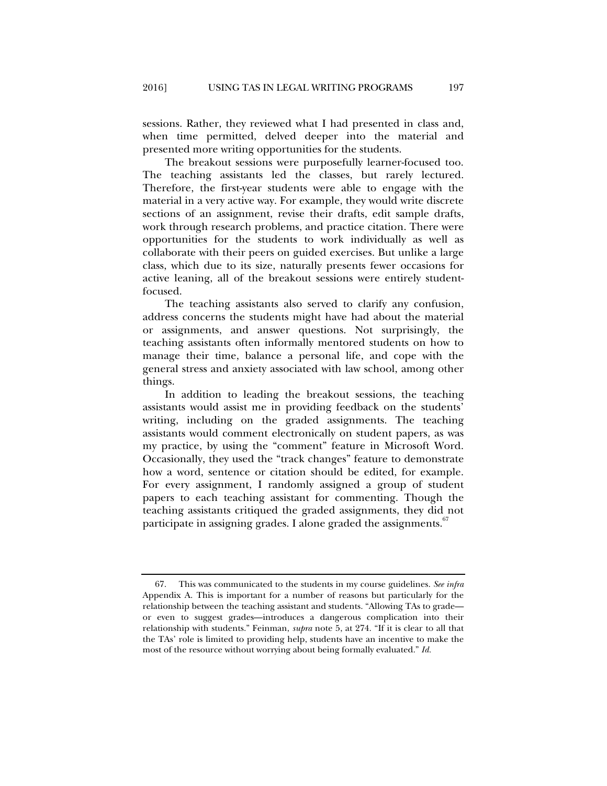sessions. Rather, they reviewed what I had presented in class and, when time permitted, delved deeper into the material and presented more writing opportunities for the students.

The breakout sessions were purposefully learner-focused too. The teaching assistants led the classes, but rarely lectured. Therefore, the first-year students were able to engage with the material in a very active way. For example, they would write discrete sections of an assignment, revise their drafts, edit sample drafts, work through research problems, and practice citation. There were opportunities for the students to work individually as well as collaborate with their peers on guided exercises. But unlike a large class, which due to its size, naturally presents fewer occasions for active leaning, all of the breakout sessions were entirely studentfocused.

The teaching assistants also served to clarify any confusion, address concerns the students might have had about the material or assignments, and answer questions. Not surprisingly, the teaching assistants often informally mentored students on how to manage their time, balance a personal life, and cope with the general stress and anxiety associated with law school, among other things.

In addition to leading the breakout sessions, the teaching assistants would assist me in providing feedback on the students' writing, including on the graded assignments. The teaching assistants would comment electronically on student papers, as was my practice, by using the "comment" feature in Microsoft Word. Occasionally, they used the "track changes" feature to demonstrate how a word, sentence or citation should be edited, for example. For every assignment, I randomly assigned a group of student papers to each teaching assistant for commenting. Though the teaching assistants critiqued the graded assignments, they did not participate in assigning grades. I alone graded the assignments.<sup>67</sup>

 <sup>67.</sup> This was communicated to the students in my course guidelines. *See infra* Appendix A. This is important for a number of reasons but particularly for the relationship between the teaching assistant and students. "Allowing TAs to grade or even to suggest grades—introduces a dangerous complication into their relationship with students." Feinman, *supra* note 5, at 274. "If it is clear to all that the TAs' role is limited to providing help, students have an incentive to make the most of the resource without worrying about being formally evaluated." *Id.*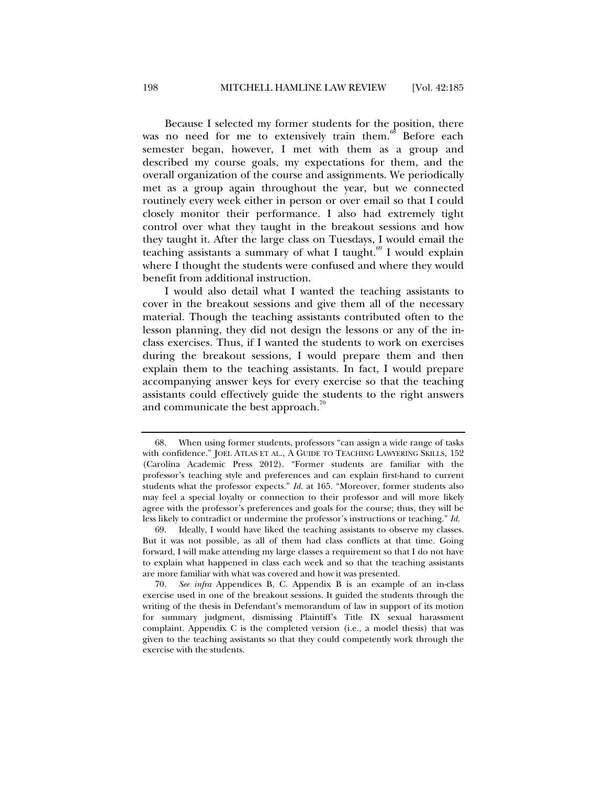Because I selected my former students for the position, there was no need for me to extensively train them.<sup>68</sup> Before each semester began, however, I met with them as a group and described my course goals, my expectations for them, and the overall organization of the course and assignments. We periodically met as a group again throughout the year, but we connected routinely every week either in person or over email so that I could closely monitor their performance. I also had extremely tight control over what they taught in the breakout sessions and how they taught it. After the large class on Tuesdays, I would email the teaching assistants a summary of what I taught. $69$  I would explain where I thought the students were confused and where they would benefit from additional instruction.

I would also detail what I wanted the teaching assistants to cover in the breakout sessions and give them all of the necessary material. Though the teaching assistants contributed often to the lesson planning, they did not design the lessons or any of the inclass exercises. Thus, if I wanted the students to work on exercises during the breakout sessions, I would prepare them and then explain them to the teaching assistants. In fact, I would prepare accompanying answer keys for every exercise so that the teaching assistants could effectively guide the students to the right answers and communicate the best approach.<sup>00</sup>

 <sup>68.</sup> When using former students, professors "can assign a wide range of tasks with confidence." JOEL ATLAS ET AL., A GUIDE TO TEACHING LAWYERING SKILLS, 152 (Carolina Academic Press 2012). "Former students are familiar with the professor's teaching style and preferences and can explain first-hand to current students what the professor expects." *Id.* at 165. "Moreover, former students also may feel a special loyalty or connection to their professor and will more likely agree with the professor's preferences and goals for the course; thus, they will be less likely to contradict or undermine the professor's instructions or teaching." *Id.*

 <sup>69.</sup> Ideally, I would have liked the teaching assistants to observe my classes. But it was not possible, as all of them had class conflicts at that time. Going forward, I will make attending my large classes a requirement so that I do not have to explain what happened in class each week and so that the teaching assistants are more familiar with what was covered and how it was presented.

 <sup>70.</sup> *See infra* Appendices B, C. Appendix B is an example of an in-class exercise used in one of the breakout sessions. It guided the students through the writing of the thesis in Defendant's memorandum of law in support of its motion for summary judgment, dismissing Plaintiff's Title IX sexual harassment complaint. Appendix C is the completed version (i.e., a model thesis) that was given to the teaching assistants so that they could competently work through the exercise with the students.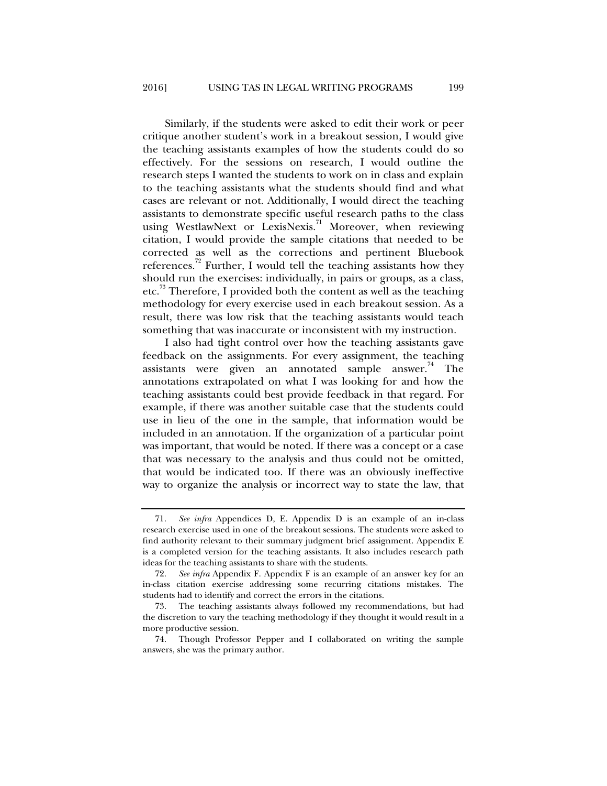Similarly, if the students were asked to edit their work or peer critique another student's work in a breakout session, I would give the teaching assistants examples of how the students could do so effectively. For the sessions on research, I would outline the research steps I wanted the students to work on in class and explain to the teaching assistants what the students should find and what cases are relevant or not. Additionally, I would direct the teaching assistants to demonstrate specific useful research paths to the class using WestlawNext or LexisNexis.<sup>71</sup> Moreover, when reviewing citation, I would provide the sample citations that needed to be corrected as well as the corrections and pertinent Bluebook references.<sup>72</sup> Further, I would tell the teaching assistants how they should run the exercises: individually, in pairs or groups, as a class, etc.<sup>73</sup> Therefore, I provided both the content as well as the teaching methodology for every exercise used in each breakout session. As a result, there was low risk that the teaching assistants would teach something that was inaccurate or inconsistent with my instruction.

I also had tight control over how the teaching assistants gave feedback on the assignments. For every assignment, the teaching assistants were given an annotated sample answer.<sup>74</sup> The annotations extrapolated on what I was looking for and how the teaching assistants could best provide feedback in that regard. For example, if there was another suitable case that the students could use in lieu of the one in the sample, that information would be included in an annotation. If the organization of a particular point was important, that would be noted. If there was a concept or a case that was necessary to the analysis and thus could not be omitted, that would be indicated too. If there was an obviously ineffective way to organize the analysis or incorrect way to state the law, that

 <sup>71.</sup> *See infra* Appendices D, E. Appendix D is an example of an in-class research exercise used in one of the breakout sessions. The students were asked to find authority relevant to their summary judgment brief assignment. Appendix E is a completed version for the teaching assistants. It also includes research path ideas for the teaching assistants to share with the students.

 <sup>72.</sup> *See infra* Appendix F. Appendix F is an example of an answer key for an in-class citation exercise addressing some recurring citations mistakes. The students had to identify and correct the errors in the citations.

 <sup>73.</sup> The teaching assistants always followed my recommendations, but had the discretion to vary the teaching methodology if they thought it would result in a more productive session.

 <sup>74.</sup> Though Professor Pepper and I collaborated on writing the sample answers, she was the primary author.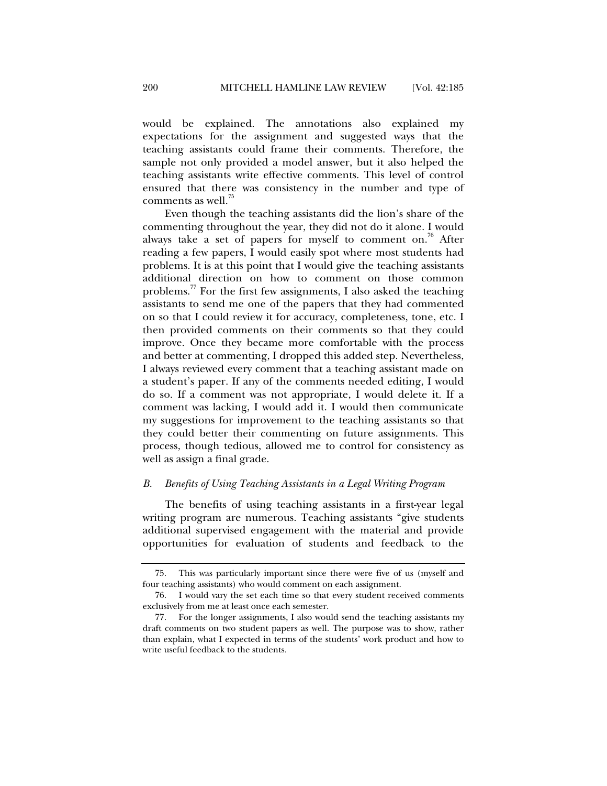would be explained. The annotations also explained my expectations for the assignment and suggested ways that the teaching assistants could frame their comments. Therefore, the sample not only provided a model answer, but it also helped the teaching assistants write effective comments. This level of control ensured that there was consistency in the number and type of comments as well. $^{75}$ 

Even though the teaching assistants did the lion's share of the commenting throughout the year, they did not do it alone. I would always take a set of papers for myself to comment on.<sup>76</sup> After reading a few papers, I would easily spot where most students had problems. It is at this point that I would give the teaching assistants additional direction on how to comment on those common problems.<sup>77</sup> For the first few assignments, I also asked the teaching assistants to send me one of the papers that they had commented on so that I could review it for accuracy, completeness, tone, etc. I then provided comments on their comments so that they could improve. Once they became more comfortable with the process and better at commenting, I dropped this added step. Nevertheless, I always reviewed every comment that a teaching assistant made on a student's paper. If any of the comments needed editing, I would do so. If a comment was not appropriate, I would delete it. If a comment was lacking, I would add it. I would then communicate my suggestions for improvement to the teaching assistants so that they could better their commenting on future assignments. This process, though tedious, allowed me to control for consistency as well as assign a final grade.

#### *B. Benefits of Using Teaching Assistants in a Legal Writing Program*

The benefits of using teaching assistants in a first-year legal writing program are numerous. Teaching assistants "give students additional supervised engagement with the material and provide opportunities for evaluation of students and feedback to the

 <sup>75.</sup> This was particularly important since there were five of us (myself and four teaching assistants) who would comment on each assignment.

 <sup>76.</sup> I would vary the set each time so that every student received comments exclusively from me at least once each semester.

 <sup>77.</sup> For the longer assignments, I also would send the teaching assistants my draft comments on two student papers as well. The purpose was to show, rather than explain, what I expected in terms of the students' work product and how to write useful feedback to the students.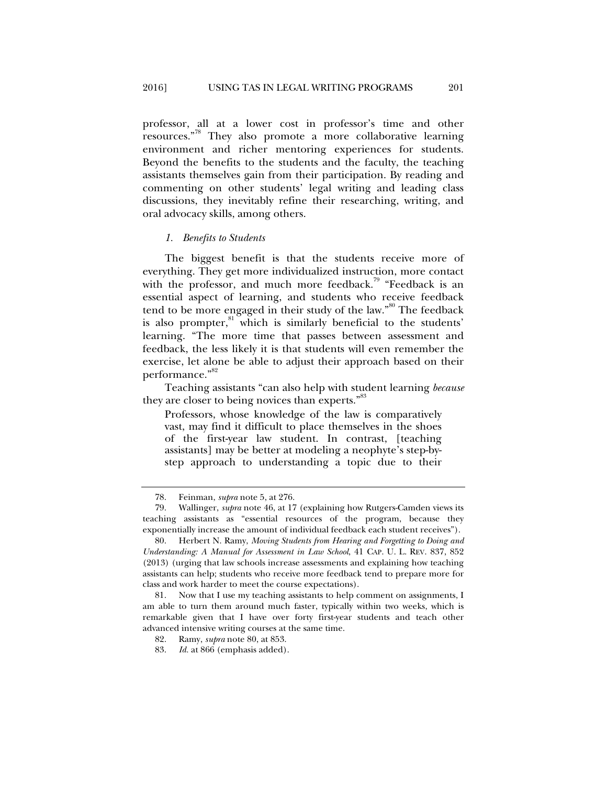professor, all at a lower cost in professor's time and other resources."78 They also promote a more collaborative learning environment and richer mentoring experiences for students. Beyond the benefits to the students and the faculty, the teaching assistants themselves gain from their participation. By reading and commenting on other students' legal writing and leading class discussions, they inevitably refine their researching, writing, and oral advocacy skills, among others.

#### *1. Benefits to Students*

The biggest benefit is that the students receive more of everything. They get more individualized instruction, more contact with the professor, and much more feedback.<sup>79</sup> "Feedback is an essential aspect of learning, and students who receive feedback tend to be more engaged in their study of the law."<sup>80</sup> The feedback is also prompter, $81$  which is similarly beneficial to the students' learning. "The more time that passes between assessment and feedback, the less likely it is that students will even remember the exercise, let alone be able to adjust their approach based on their performance."<sup>82</sup>

Teaching assistants "can also help with student learning *because* they are closer to being novices than experts."<sup>83</sup>

Professors, whose knowledge of the law is comparatively vast, may find it difficult to place themselves in the shoes of the first-year law student. In contrast, [teaching assistants] may be better at modeling a neophyte's step-bystep approach to understanding a topic due to their

82. Ramy, *supra* note 80, at 853.

 <sup>78.</sup> Feinman, *supra* note 5, at 276.

 <sup>79.</sup> Wallinger, *supra* note 46, at 17 (explaining how Rutgers-Camden views its teaching assistants as "essential resources of the program, because they exponentially increase the amount of individual feedback each student receives").

 <sup>80.</sup> Herbert N. Ramy, *Moving Students from Hearing and Forgetting to Doing and Understanding: A Manual for Assessment in Law School*, 41 CAP. U. L. REV. 837, 852 (2013) (urging that law schools increase assessments and explaining how teaching assistants can help; students who receive more feedback tend to prepare more for class and work harder to meet the course expectations).

 <sup>81.</sup> Now that I use my teaching assistants to help comment on assignments, I am able to turn them around much faster, typically within two weeks, which is remarkable given that I have over forty first-year students and teach other advanced intensive writing courses at the same time.

 <sup>83.</sup> *Id.* at 866 (emphasis added).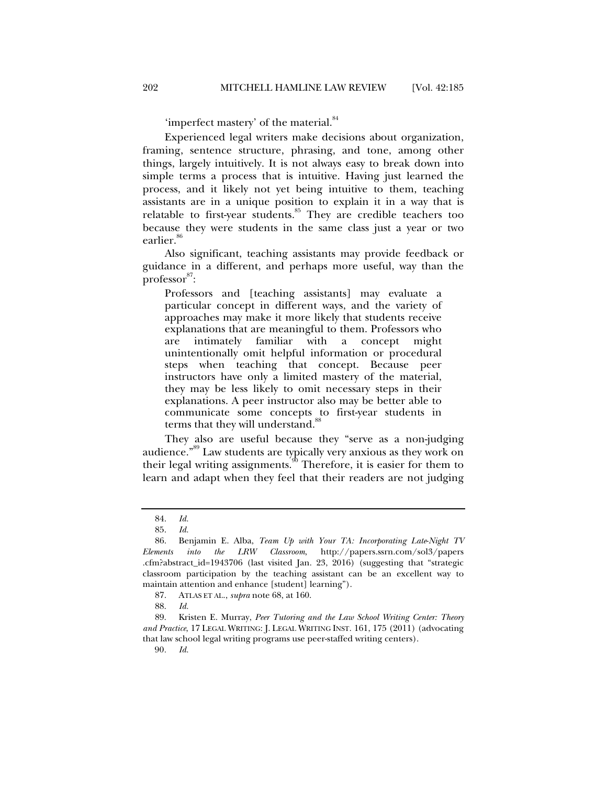'imperfect mastery' of the material.<sup>84</sup>

Experienced legal writers make decisions about organization, framing, sentence structure, phrasing, and tone, among other things, largely intuitively. It is not always easy to break down into simple terms a process that is intuitive. Having just learned the process, and it likely not yet being intuitive to them, teaching assistants are in a unique position to explain it in a way that is relatable to first-year students.<sup>85</sup> They are credible teachers too because they were students in the same class just a year or two earlier.<sup>86</sup>

Also significant, teaching assistants may provide feedback or guidance in a different, and perhaps more useful, way than the  $\overline{\text{professor}}^{87}$ :

Professors and [teaching assistants] may evaluate a particular concept in different ways, and the variety of approaches may make it more likely that students receive explanations that are meaningful to them. Professors who are intimately familiar with a concept might unintentionally omit helpful information or procedural steps when teaching that concept. Because peer instructors have only a limited mastery of the material, they may be less likely to omit necessary steps in their explanations. A peer instructor also may be better able to communicate some concepts to first-year students in terms that they will understand.<sup>8</sup>

They also are useful because they "serve as a non-judging audience."89 Law students are typically very anxious as they work on their legal writing assignments.<sup>90</sup> Therefore, it is easier for them to learn and adapt when they feel that their readers are not judging

 89. Kristen E. Murray, *Peer Tutoring and the Law School Writing Center: Theory and Practice*, 17 LEGAL WRITING: J. LEGAL WRITING INST. 161, 175 (2011) (advocating that law school legal writing programs use peer-staffed writing centers).

90*. Id.* 

 <sup>84.</sup> *Id.*

 <sup>85.</sup> *Id.* 

 <sup>86.</sup> Benjamin E. Alba, *Team Up with Your TA: Incorporating Late*-*Night TV Elements into the LRW Classroom*, http://papers.ssrn.com/sol3/papers .cfm?abstract\_id=1943706 (last visited Jan. 23, 2016) (suggesting that "strategic classroom participation by the teaching assistant can be an excellent way to maintain attention and enhance [student] learning").

 <sup>87.</sup> ATLAS ET AL., *supra* note 68, at 160.

 <sup>88.</sup> *Id.*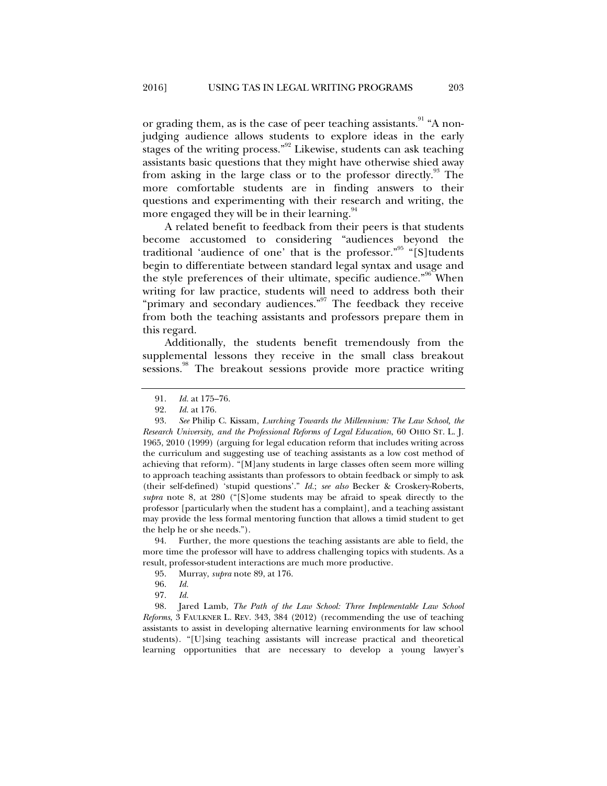or grading them, as is the case of peer teaching assistants.<sup>91</sup> "A nonjudging audience allows students to explore ideas in the early stages of the writing process."<sup>92</sup> Likewise, students can ask teaching assistants basic questions that they might have otherwise shied away from asking in the large class or to the professor directly.<sup>93</sup> The more comfortable students are in finding answers to their questions and experimenting with their research and writing, the more engaged they will be in their learning.<sup>94</sup>

A related benefit to feedback from their peers is that students become accustomed to considering "audiences beyond the traditional 'audience of one' that is the professor."<sup>95</sup> "[S]tudents begin to differentiate between standard legal syntax and usage and the style preferences of their ultimate, specific audience."<sup>96</sup> When writing for law practice, students will need to address both their "primary and secondary audiences."<sup>97</sup> The feedback they receive from both the teaching assistants and professors prepare them in this regard.

Additionally, the students benefit tremendously from the supplemental lessons they receive in the small class breakout sessions.<sup>98</sup> The breakout sessions provide more practice writing

 94. Further, the more questions the teaching assistants are able to field, the more time the professor will have to address challenging topics with students. As a result, professor-student interactions are much more productive.

- 95. Murray, *supra* note 89, at 176.
- 96. *Id.*
- 97. *Id.*

 98. Jared Lamb, *The Path of the Law School: Three Implementable Law School Reforms*, 3 FAULKNER L. REV. 343, 384 (2012) (recommending the use of teaching assistants to assist in developing alternative learning environments for law school students). "[U]sing teaching assistants will increase practical and theoretical learning opportunities that are necessary to develop a young lawyer's

<sup>91.</sup> *Id.* at 175–76.<br>92. *Id.* at 176.

*Id.* at 176.

 <sup>93.</sup> *See* Philip C. Kissam, *Lurching Towards the Millennium: The Law School, the Research University, and the Professional Reforms of Legal Education*, 60 OHIO ST. L. J. 1965, 2010 (1999) (arguing for legal education reform that includes writing across the curriculum and suggesting use of teaching assistants as a low cost method of achieving that reform). "[M]any students in large classes often seem more willing to approach teaching assistants than professors to obtain feedback or simply to ask (their self-defined) 'stupid questions'." *Id.*; *see also* Becker & Croskery-Roberts, *supra* note 8, at 280 ("[S]ome students may be afraid to speak directly to the professor [particularly when the student has a complaint], and a teaching assistant may provide the less formal mentoring function that allows a timid student to get the help he or she needs.").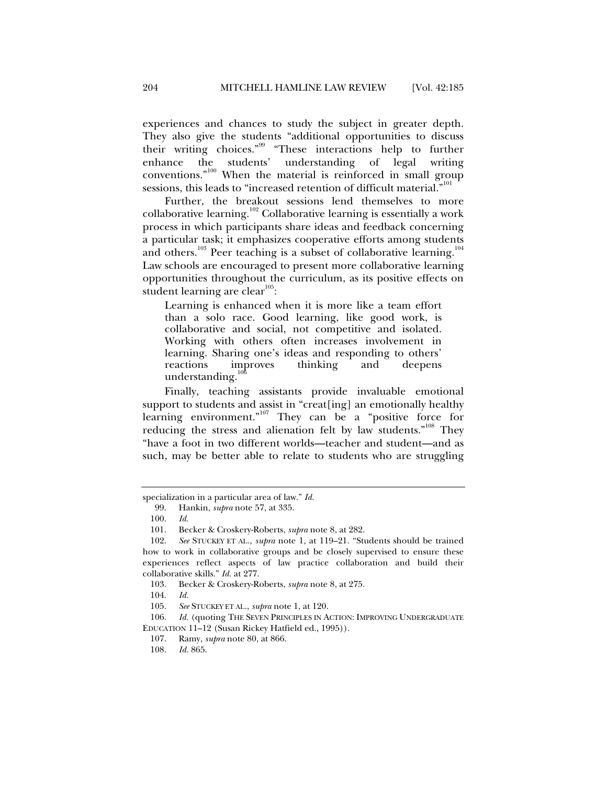experiences and chances to study the subject in greater depth. They also give the students "additional opportunities to discuss their writing choices."99 "These interactions help to further enhance the students' understanding of legal writing conventions.<sup>"100</sup> When the material is reinforced in small group sessions, this leads to "increased retention of difficult material."<sup>10</sup>

Further, the breakout sessions lend themselves to more collaborative learning.<sup>102</sup> Collaborative learning is essentially a work process in which participants share ideas and feedback concerning a particular task; it emphasizes cooperative efforts among students and others.<sup>103</sup> Peer teaching is a subset of collaborative learning.<sup>104</sup> Law schools are encouraged to present more collaborative learning opportunities throughout the curriculum, as its positive effects on student learning are clear<sup>105</sup>:

Learning is enhanced when it is more like a team effort than a solo race. Good learning, like good work, is collaborative and social, not competitive and isolated. Working with others often increases involvement in learning. Sharing one's ideas and responding to others' reactions improves thinking and deepens understanding.

Finally, teaching assistants provide invaluable emotional support to students and assist in "creat[ing] an emotionally healthy learning environment."<sup>107</sup> They can be a "positive force for reducing the stress and alienation felt by law students."<sup>108</sup> They "have a foot in two different worlds—teacher and student—and as such, may be better able to relate to students who are struggling

specialization in a particular area of law." *Id.*

 <sup>99.</sup> Hankin, *supra* note 57, at 335.

 <sup>100.</sup> *Id.* 

 <sup>101.</sup> Becker & Croskery-Roberts, *supra* note 8, at 282.

 <sup>102.</sup> *See* STUCKEY ET AL., *supra* note 1, at 119–21. "Students should be trained how to work in collaborative groups and be closely supervised to ensure these experiences reflect aspects of law practice collaboration and build their collaborative skills." *Id.* at 277.

 <sup>103.</sup> Becker & Croskery-Roberts, *supra* note 8, at 275.

 <sup>104.</sup> *Id.* 

 <sup>105.</sup> *See* STUCKEY ET AL., *supra* note 1, at 120.

<sup>106.</sup> *Id.* (quoting THE SEVEN PRINCIPLES IN ACTION: IMPROVING UNDERGRADUATE EDUCATION 11–12 (Susan Rickey Hatfield ed., 1995)).

 <sup>107.</sup> Ramy, *supra* note 80, at 866.

 <sup>108.</sup> *Id.* 865.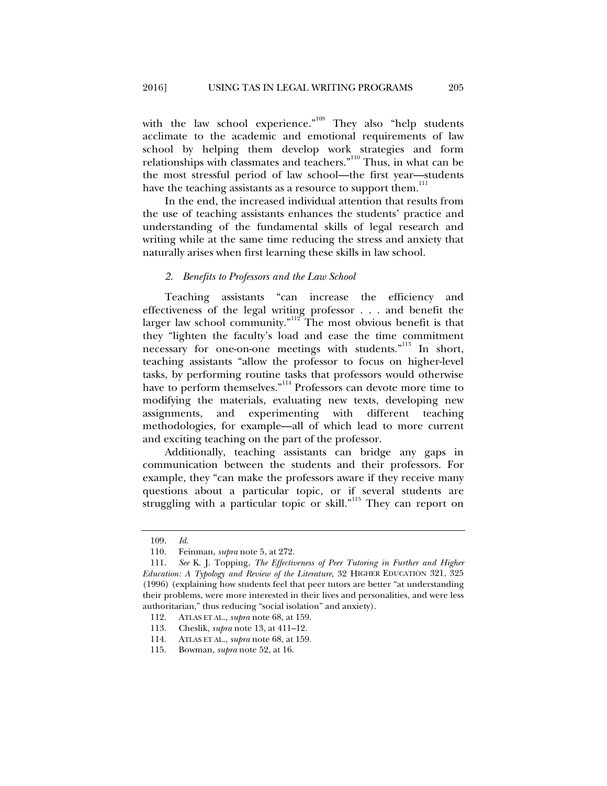with the law school experience."<sup>109</sup> They also "help students acclimate to the academic and emotional requirements of law school by helping them develop work strategies and form relationships with classmates and teachers."110 Thus, in what can be the most stressful period of law school—the first year—students have the teaching assistants as a resource to support them.<sup>111</sup>

In the end, the increased individual attention that results from the use of teaching assistants enhances the students' practice and understanding of the fundamental skills of legal research and writing while at the same time reducing the stress and anxiety that naturally arises when first learning these skills in law school.

#### *2. Benefits to Professors and the Law School*

Teaching assistants "can increase the efficiency and effectiveness of the legal writing professor . . . and benefit the larger law school community. $n^{112}$  The most obvious benefit is that they "lighten the faculty's load and ease the time commitment necessary for one-on-one meetings with students."<sup>113</sup> In short, teaching assistants "allow the professor to focus on higher-level tasks, by performing routine tasks that professors would otherwise have to perform themselves."<sup>114</sup> Professors can devote more time to modifying the materials, evaluating new texts, developing new assignments, and experimenting with different teaching methodologies, for example—all of which lead to more current and exciting teaching on the part of the professor.

Additionally, teaching assistants can bridge any gaps in communication between the students and their professors. For example, they "can make the professors aware if they receive many questions about a particular topic, or if several students are struggling with a particular topic or skill."<sup>115</sup> They can report on

 <sup>109.</sup> *Id.*

 <sup>110.</sup> Feinman, *supra* note 5, at 272.

 <sup>111.</sup> *See* K. J. Topping, *The Effectiveness of Peer Tutoring in Further and Higher Education: A Typology and Review of the Literature*, 32 HIGHER EDUCATION 321, 325 (1996) (explaining how students feel that peer tutors are better "at understanding their problems, were more interested in their lives and personalities, and were less authoritarian," thus reducing "social isolation" and anxiety).

 <sup>112.</sup> ATLAS ET AL., *supra* note 68, at 159.

 <sup>113.</sup> Cheslik, *supra* note 13, at 411–12.

 <sup>114.</sup> ATLAS ET AL., *supra* note 68, at 159.

 <sup>115.</sup> Bowman, *supra* note 52, at 16.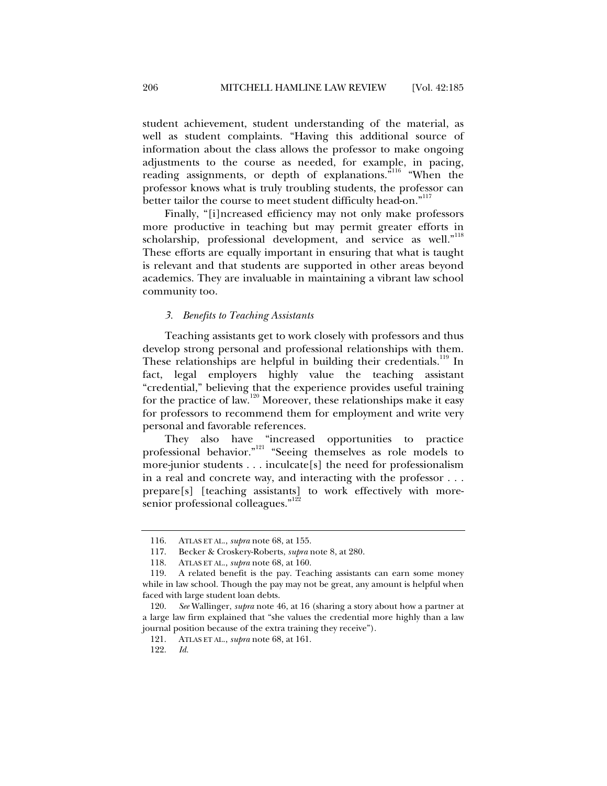student achievement, student understanding of the material, as well as student complaints. "Having this additional source of information about the class allows the professor to make ongoing adjustments to the course as needed, for example, in pacing, reading assignments, or depth of explanations.<sup>"116</sup> "When the professor knows what is truly troubling students, the professor can better tailor the course to meet student difficulty head-on."<sup>117</sup>

Finally, "[i]ncreased efficiency may not only make professors more productive in teaching but may permit greater efforts in scholarship, professional development, and service as well."<sup>118</sup> These efforts are equally important in ensuring that what is taught is relevant and that students are supported in other areas beyond academics. They are invaluable in maintaining a vibrant law school community too.

#### *3. Benefits to Teaching Assistants*

Teaching assistants get to work closely with professors and thus develop strong personal and professional relationships with them. These relationships are helpful in building their credentials.<sup>119</sup> In fact, legal employers highly value the teaching assistant "credential," believing that the experience provides useful training for the practice of law.<sup>120</sup> Moreover, these relationships make it easy for professors to recommend them for employment and write very personal and favorable references.

They also have "increased opportunities to practice professional behavior."121 "Seeing themselves as role models to more-junior students . . . inculcate[s] the need for professionalism in a real and concrete way, and interacting with the professor . . . prepare[s] [teaching assistants] to work effectively with moresenior professional colleagues."<sup>122</sup>

 <sup>116.</sup> ATLAS ET AL., *supra* note 68, at 155.

 <sup>117.</sup> Becker & Croskery-Roberts, *supra* note 8, at 280.

 <sup>118.</sup> ATLAS ET AL., *supra* note 68, at 160.

 <sup>119.</sup> A related benefit is the pay. Teaching assistants can earn some money while in law school. Though the pay may not be great, any amount is helpful when faced with large student loan debts.

 <sup>120.</sup> *See* Wallinger, *supra* note 46, at 16 (sharing a story about how a partner at a large law firm explained that "she values the credential more highly than a law journal position because of the extra training they receive").

 <sup>121.</sup> ATLAS ET AL., *supra* note 68, at 161.

 <sup>122.</sup> *Id.*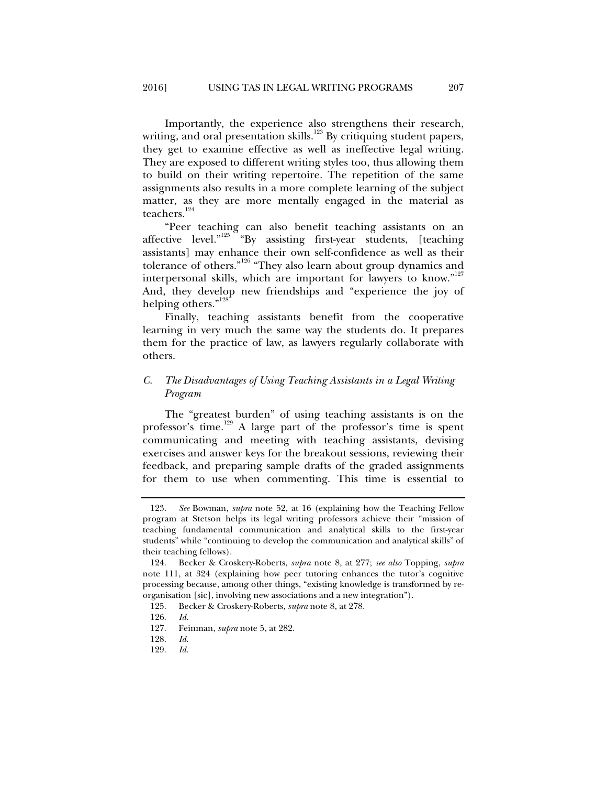Importantly, the experience also strengthens their research, writing, and oral presentation skills.<sup>123</sup> By critiquing student papers, they get to examine effective as well as ineffective legal writing. They are exposed to different writing styles too, thus allowing them to build on their writing repertoire. The repetition of the same assignments also results in a more complete learning of the subject matter, as they are more mentally engaged in the material as teachers.<sup>124</sup>

"Peer teaching can also benefit teaching assistants on an affective level."<sup>125</sup> "By assisting first-year students, [teaching assistants] may enhance their own self-confidence as well as their tolerance of others."<sup>126</sup> "They also learn about group dynamics and interpersonal skills, which are important for lawyers to know."<sup>127</sup> And, they develop new friendships and "experience the joy of helping others."<sup>128</sup>

Finally, teaching assistants benefit from the cooperative learning in very much the same way the students do. It prepares them for the practice of law, as lawyers regularly collaborate with others.

## *C. The Disadvantages of Using Teaching Assistants in a Legal Writing Program*

The "greatest burden" of using teaching assistants is on the professor's time.129 A large part of the professor's time is spent communicating and meeting with teaching assistants, devising exercises and answer keys for the breakout sessions, reviewing their feedback, and preparing sample drafts of the graded assignments for them to use when commenting. This time is essential to

 <sup>123.</sup> *See* Bowman, *supra* note 52, at 16 (explaining how the Teaching Fellow program at Stetson helps its legal writing professors achieve their "mission of teaching fundamental communication and analytical skills to the first-year students" while "continuing to develop the communication and analytical skills" of their teaching fellows).

 <sup>124.</sup> Becker & Croskery-Roberts, *supra* note 8, at 277; *see also* Topping, *supra* note 111, at 324 (explaining how peer tutoring enhances the tutor's cognitive processing because, among other things, "existing knowledge is transformed by reorganisation [sic], involving new associations and a new integration").

 <sup>125.</sup> Becker & Croskery-Roberts, *supra* note 8, at 278.

 <sup>126.</sup> *Id.* 

 <sup>127.</sup> Feinman, *supra* note 5, at 282.

 <sup>128.</sup> *Id.*

 <sup>129.</sup> *Id.*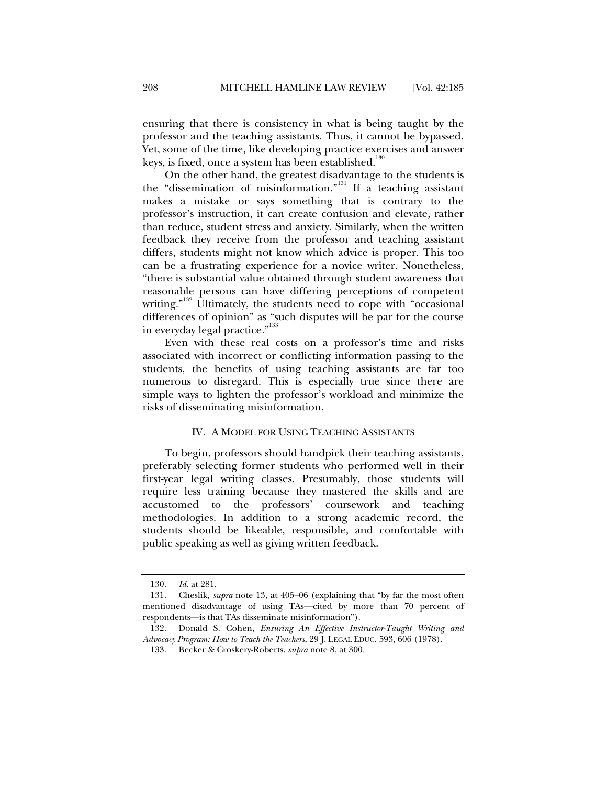ensuring that there is consistency in what is being taught by the professor and the teaching assistants. Thus, it cannot be bypassed. Yet, some of the time, like developing practice exercises and answer keys, is fixed, once a system has been established. $^{130}$ 

On the other hand, the greatest disadvantage to the students is the "dissemination of misinformation."<sup>131</sup> If a teaching assistant makes a mistake or says something that is contrary to the professor's instruction, it can create confusion and elevate, rather than reduce, student stress and anxiety. Similarly, when the written feedback they receive from the professor and teaching assistant differs, students might not know which advice is proper. This too can be a frustrating experience for a novice writer. Nonetheless, "there is substantial value obtained through student awareness that reasonable persons can have differing perceptions of competent writing."<sup>132</sup> Ultimately, the students need to cope with "occasional differences of opinion" as "such disputes will be par for the course in everyday legal practice."<sup>133</sup>

Even with these real costs on a professor's time and risks associated with incorrect or conflicting information passing to the students, the benefits of using teaching assistants are far too numerous to disregard. This is especially true since there are simple ways to lighten the professor's workload and minimize the risks of disseminating misinformation.

#### IV. A MODEL FOR USING TEACHING ASSISTANTS

To begin, professors should handpick their teaching assistants, preferably selecting former students who performed well in their first-year legal writing classes. Presumably, those students will require less training because they mastered the skills and are accustomed to the professors' coursework and teaching methodologies. In addition to a strong academic record, the students should be likeable, responsible, and comfortable with public speaking as well as giving written feedback.

 <sup>130.</sup> *Id.* at 281.

 <sup>131.</sup> Cheslik, *supra* note 13, at 405–06 (explaining that "by far the most often mentioned disadvantage of using TAs—cited by more than 70 percent of respondents—is that TAs disseminate misinformation").

 <sup>132.</sup> Donald S. Cohen, *Ensuring An Effective Instructor*-*Taught Writing and Advocacy Program: How to Teach the Teachers*, 29 J. LEGAL EDUC. 593, 606 (1978).

 <sup>133.</sup> Becker & Croskery-Roberts, *supra* note 8, at 300.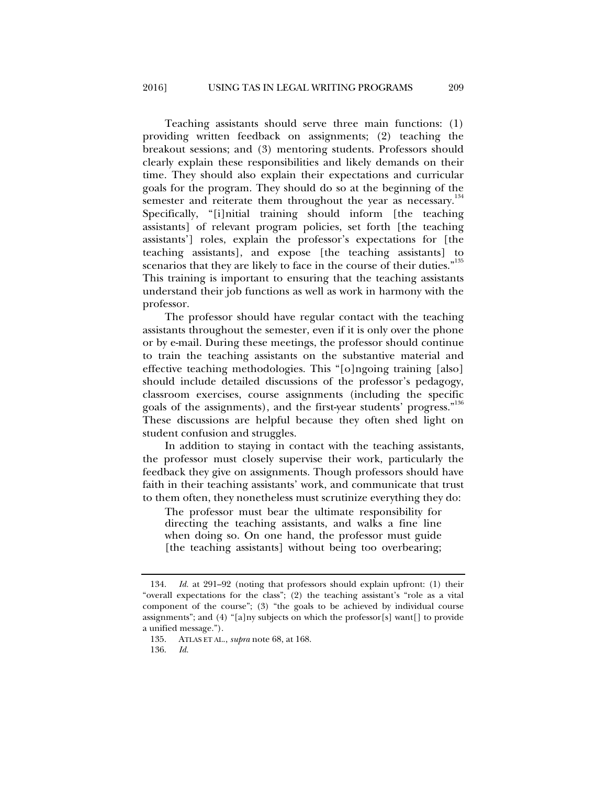Teaching assistants should serve three main functions: (1) providing written feedback on assignments; (2) teaching the breakout sessions; and (3) mentoring students. Professors should clearly explain these responsibilities and likely demands on their time. They should also explain their expectations and curricular goals for the program. They should do so at the beginning of the semester and reiterate them throughout the year as necessary.<sup>134</sup> Specifically, "[i]nitial training should inform [the teaching assistants] of relevant program policies, set forth [the teaching assistants'] roles, explain the professor's expectations for [the teaching assistants], and expose [the teaching assistants] to scenarios that they are likely to face in the course of their duties."<sup>135</sup> This training is important to ensuring that the teaching assistants understand their job functions as well as work in harmony with the professor.

The professor should have regular contact with the teaching assistants throughout the semester, even if it is only over the phone or by e-mail. During these meetings, the professor should continue to train the teaching assistants on the substantive material and effective teaching methodologies. This "[o]ngoing training [also] should include detailed discussions of the professor's pedagogy, classroom exercises, course assignments (including the specific goals of the assignments), and the first-year students' progress."<sup>136</sup> These discussions are helpful because they often shed light on student confusion and struggles.

In addition to staying in contact with the teaching assistants, the professor must closely supervise their work, particularly the feedback they give on assignments. Though professors should have faith in their teaching assistants' work, and communicate that trust to them often, they nonetheless must scrutinize everything they do:

The professor must bear the ultimate responsibility for directing the teaching assistants, and walks a fine line when doing so. On one hand, the professor must guide [the teaching assistants] without being too overbearing;

 <sup>134.</sup> *Id.* at 291–92 (noting that professors should explain upfront: (1) their "overall expectations for the class"; (2) the teaching assistant's "role as a vital component of the course"; (3) "the goals to be achieved by individual course assignments"; and (4) "[a]ny subjects on which the professor[s] want[] to provide a unified message.").

 <sup>135.</sup> ATLAS ET AL., *supra* note 68, at 168.

 <sup>136.</sup> *Id.*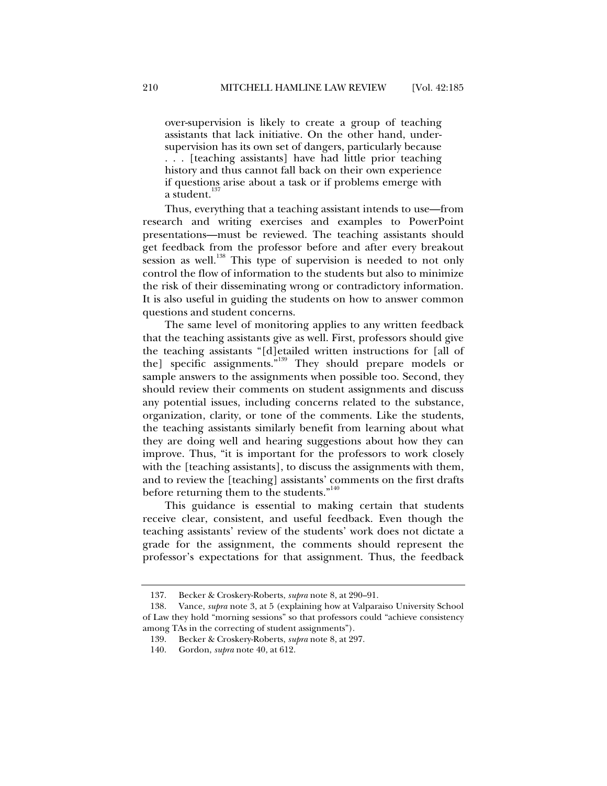over-supervision is likely to create a group of teaching assistants that lack initiative. On the other hand, undersupervision has its own set of dangers, particularly because . . . [teaching assistants] have had little prior teaching history and thus cannot fall back on their own experience if questions arise about a task or if problems emerge with a student.<sup>1</sup>

Thus, everything that a teaching assistant intends to use—from research and writing exercises and examples to PowerPoint presentations—must be reviewed. The teaching assistants should get feedback from the professor before and after every breakout session as well.<sup>138</sup> This type of supervision is needed to not only control the flow of information to the students but also to minimize the risk of their disseminating wrong or contradictory information. It is also useful in guiding the students on how to answer common questions and student concerns.

The same level of monitoring applies to any written feedback that the teaching assistants give as well. First, professors should give the teaching assistants "[d]etailed written instructions for [all of the] specific assignments."139 They should prepare models or sample answers to the assignments when possible too. Second, they should review their comments on student assignments and discuss any potential issues, including concerns related to the substance, organization, clarity, or tone of the comments. Like the students, the teaching assistants similarly benefit from learning about what they are doing well and hearing suggestions about how they can improve. Thus, "it is important for the professors to work closely with the [teaching assistants], to discuss the assignments with them, and to review the [teaching] assistants' comments on the first drafts before returning them to the students."<sup>140</sup>

This guidance is essential to making certain that students receive clear, consistent, and useful feedback. Even though the teaching assistants' review of the students' work does not dictate a grade for the assignment, the comments should represent the professor's expectations for that assignment. Thus, the feedback

 <sup>137.</sup> Becker & Croskery-Roberts, *supra* note 8, at 290–91.

 <sup>138.</sup> Vance, *supra* note 3, at 5 (explaining how at Valparaiso University School of Law they hold "morning sessions" so that professors could "achieve consistency among TAs in the correcting of student assignments").

 <sup>139.</sup> Becker & Croskery-Roberts, *supra* note 8, at 297.

 <sup>140.</sup> Gordon, *supra* note 40, at 612.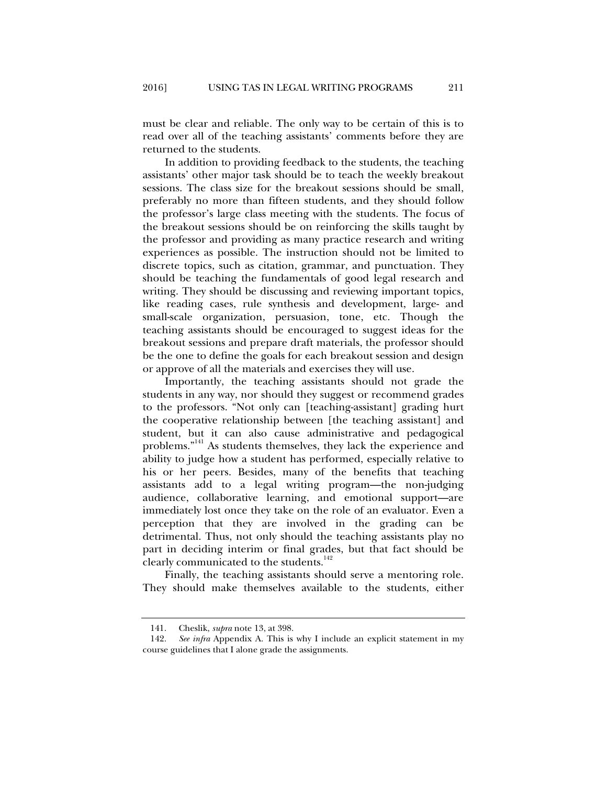must be clear and reliable. The only way to be certain of this is to read over all of the teaching assistants' comments before they are returned to the students.

In addition to providing feedback to the students, the teaching assistants' other major task should be to teach the weekly breakout sessions. The class size for the breakout sessions should be small, preferably no more than fifteen students, and they should follow the professor's large class meeting with the students. The focus of the breakout sessions should be on reinforcing the skills taught by the professor and providing as many practice research and writing experiences as possible. The instruction should not be limited to discrete topics, such as citation, grammar, and punctuation. They should be teaching the fundamentals of good legal research and writing. They should be discussing and reviewing important topics, like reading cases, rule synthesis and development, large- and small-scale organization, persuasion, tone, etc. Though the teaching assistants should be encouraged to suggest ideas for the breakout sessions and prepare draft materials, the professor should be the one to define the goals for each breakout session and design or approve of all the materials and exercises they will use.

Importantly, the teaching assistants should not grade the students in any way, nor should they suggest or recommend grades to the professors. "Not only can [teaching-assistant] grading hurt the cooperative relationship between [the teaching assistant] and student, but it can also cause administrative and pedagogical problems."141 As students themselves, they lack the experience and ability to judge how a student has performed, especially relative to his or her peers. Besides, many of the benefits that teaching assistants add to a legal writing program—the non-judging audience, collaborative learning, and emotional support—are immediately lost once they take on the role of an evaluator. Even a perception that they are involved in the grading can be detrimental. Thus, not only should the teaching assistants play no part in deciding interim or final grades, but that fact should be clearly communicated to the students.<sup>142</sup>

Finally, the teaching assistants should serve a mentoring role. They should make themselves available to the students, either

 <sup>141.</sup> Cheslik, *supra* note 13, at 398.

 <sup>142.</sup> *See infra* Appendix A. This is why I include an explicit statement in my course guidelines that I alone grade the assignments.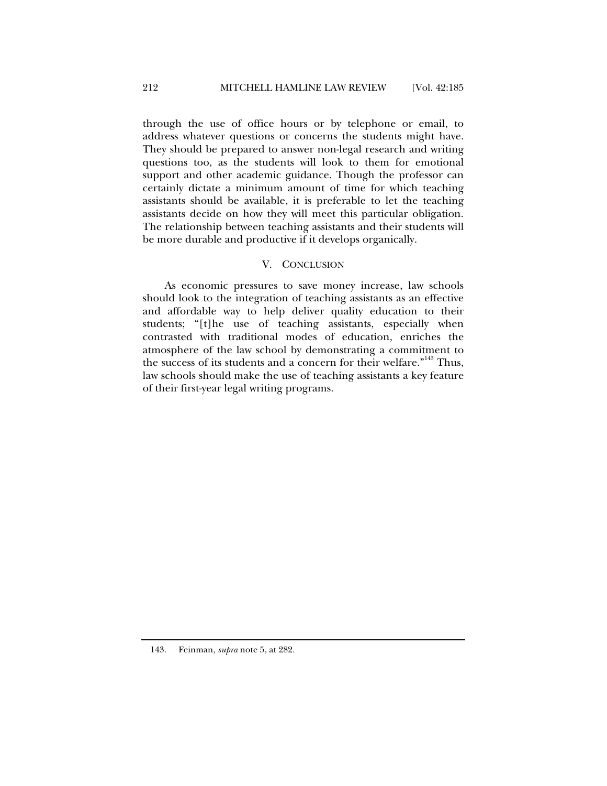through the use of office hours or by telephone or email, to address whatever questions or concerns the students might have. They should be prepared to answer non-legal research and writing questions too, as the students will look to them for emotional support and other academic guidance. Though the professor can certainly dictate a minimum amount of time for which teaching assistants should be available, it is preferable to let the teaching assistants decide on how they will meet this particular obligation. The relationship between teaching assistants and their students will be more durable and productive if it develops organically.

## V. CONCLUSION

As economic pressures to save money increase, law schools should look to the integration of teaching assistants as an effective and affordable way to help deliver quality education to their students; "[t]he use of teaching assistants, especially when contrasted with traditional modes of education, enriches the atmosphere of the law school by demonstrating a commitment to the success of its students and a concern for their welfare."<sup>143</sup> Thus, law schools should make the use of teaching assistants a key feature of their first-year legal writing programs.

143. Feinman, *supra* note 5, at 282.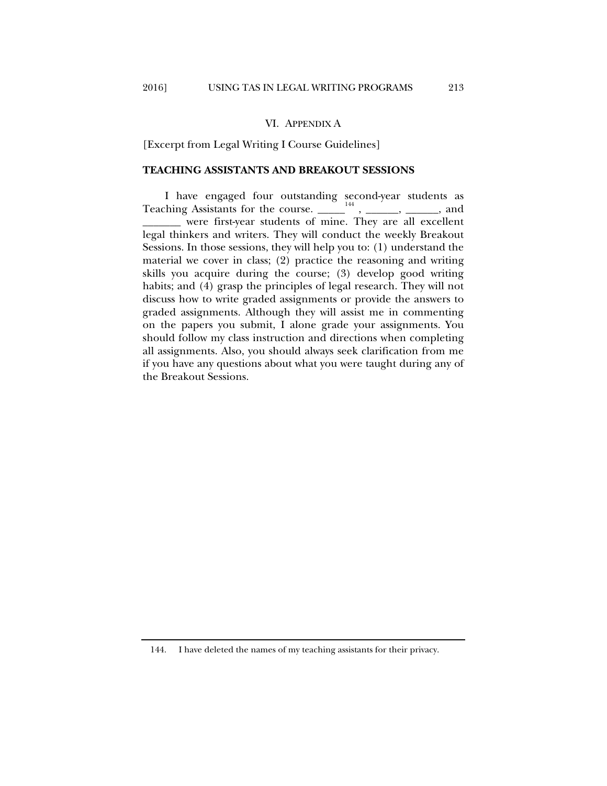#### VI. APPENDIX A

[Excerpt from Legal Writing I Course Guidelines]

#### **TEACHING ASSISTANTS AND BREAKOUT SESSIONS**

I have engaged four outstanding second-year students as Teaching Assistants for the course.  $\frac{1}{144}$ ,  $\frac{1}{144}$ ,  $\frac{1}{144}$ ,  $\frac{1}{144}$ ,  $\frac{1}{144}$ ,  $\frac{1}{144}$ ,  $\frac{1}{144}$ ,  $\frac{1}{144}$ ,  $\frac{1}{144}$ ,  $\frac{1}{144}$ ,  $\frac{1}{144}$ ,  $\frac{1}{144}$ ,  $\frac{1}{144}$ ,  $\frac{1}{144}$ ,  $\frac$ \_\_\_\_\_\_\_ were first-year students of mine. They are all excellent legal thinkers and writers. They will conduct the weekly Breakout Sessions. In those sessions, they will help you to: (1) understand the material we cover in class; (2) practice the reasoning and writing skills you acquire during the course; (3) develop good writing habits; and (4) grasp the principles of legal research. They will not discuss how to write graded assignments or provide the answers to graded assignments. Although they will assist me in commenting on the papers you submit, I alone grade your assignments. You should follow my class instruction and directions when completing all assignments. Also, you should always seek clarification from me if you have any questions about what you were taught during any of the Breakout Sessions.

 <sup>144.</sup> I have deleted the names of my teaching assistants for their privacy.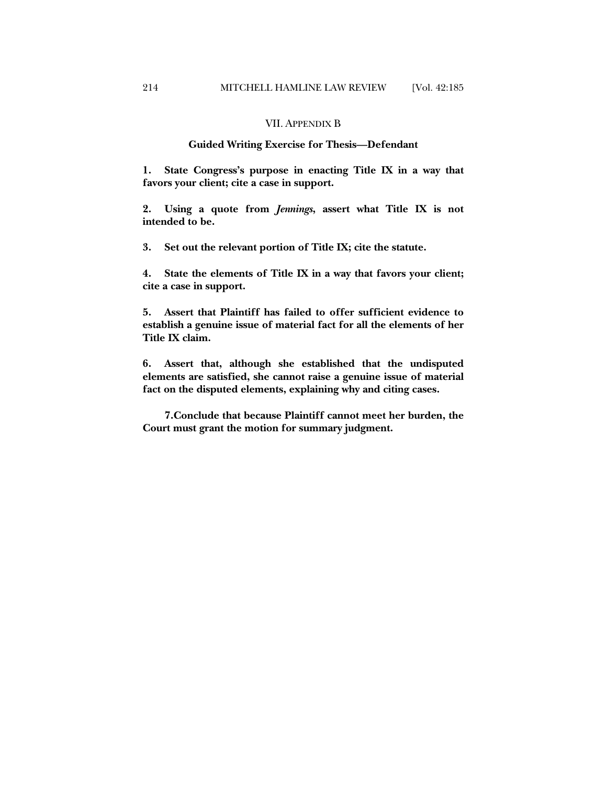#### VII. APPENDIX B

## **Guided Writing Exercise for Thesis—Defendant**

**1. State Congress's purpose in enacting Title IX in a way that favors your client; cite a case in support.**

**2. Using a quote from** *Jennings***, assert what Title IX is not intended to be.**

**3. Set out the relevant portion of Title IX; cite the statute.**

**4. State the elements of Title IX in a way that favors your client; cite a case in support.**

**5. Assert that Plaintiff has failed to offer sufficient evidence to establish a genuine issue of material fact for all the elements of her Title IX claim.** 

**6. Assert that, although she established that the undisputed elements are satisfied, she cannot raise a genuine issue of material fact on the disputed elements, explaining why and citing cases. \** 

**7.Conclude that because Plaintiff cannot meet her burden, the Court must grant the motion for summary judgment.**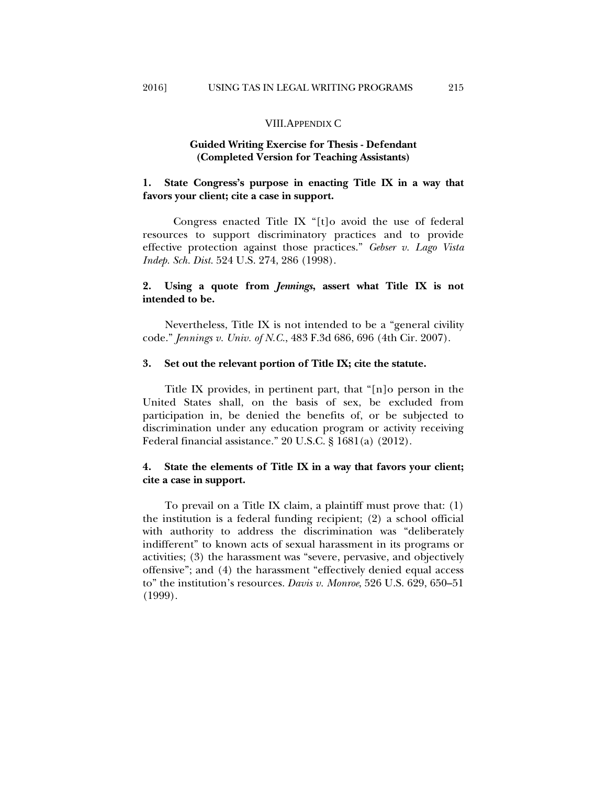#### VIII.APPENDIX C

## **Guided Writing Exercise for Thesis - Defendant (Completed Version for Teaching Assistants)**

## **1. State Congress's purpose in enacting Title IX in a way that favors your client; cite a case in support.**

 Congress enacted Title IX "[t]o avoid the use of federal resources to support discriminatory practices and to provide effective protection against those practices." *Gebser v. Lago Vista Indep. Sch. Dist.* 524 U.S. 274, 286 (1998).

## **2. Using a quote from** *Jennings***, assert what Title IX is not intended to be.**

Nevertheless, Title IX is not intended to be a "general civility code." *Jennings v. Univ. of N.C.*, 483 F.3d 686, 696 (4th Cir. 2007).

#### **3. Set out the relevant portion of Title IX; cite the statute.**

Title IX provides, in pertinent part, that "[n]o person in the United States shall, on the basis of sex, be excluded from participation in, be denied the benefits of, or be subjected to discrimination under any education program or activity receiving Federal financial assistance." 20 U.S.C. § 1681(a) (2012).

## **4. State the elements of Title IX in a way that favors your client; cite a case in support.**

To prevail on a Title IX claim, a plaintiff must prove that: (1) the institution is a federal funding recipient; (2) a school official with authority to address the discrimination was "deliberately indifferent" to known acts of sexual harassment in its programs or activities; (3) the harassment was "severe, pervasive, and objectively offensive"; and (4) the harassment "effectively denied equal access to" the institution's resources. *Davis v. Monroe*, 526 U.S. 629, 650–51 (1999).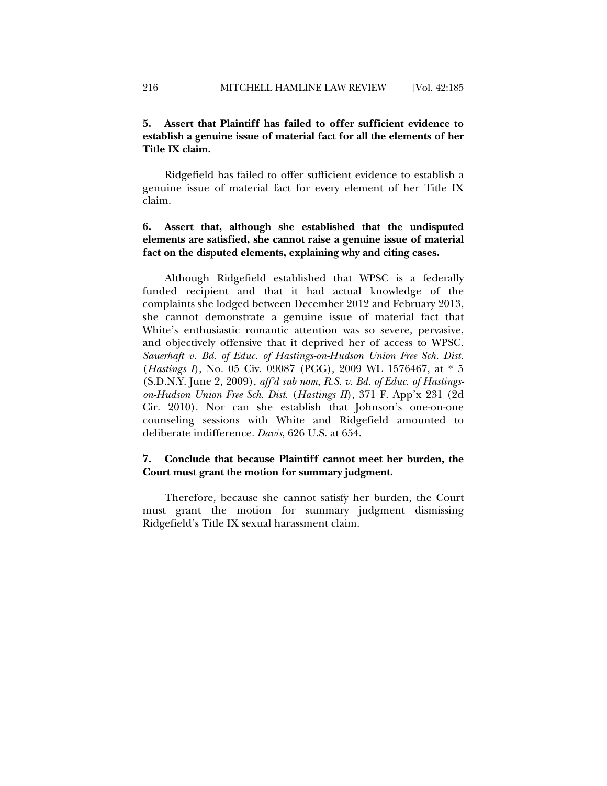## **5. Assert that Plaintiff has failed to offer sufficient evidence to establish a genuine issue of material fact for all the elements of her Title IX claim.**

Ridgefield has failed to offer sufficient evidence to establish a genuine issue of material fact for every element of her Title IX claim.

## **6. Assert that, although she established that the undisputed elements are satisfied, she cannot raise a genuine issue of material fact on the disputed elements, explaining why and citing cases.**

Although Ridgefield established that WPSC is a federally funded recipient and that it had actual knowledge of the complaints she lodged between December 2012 and February 2013, she cannot demonstrate a genuine issue of material fact that White's enthusiastic romantic attention was so severe, pervasive, and objectively offensive that it deprived her of access to WPSC. *Sauerhaft v. Bd. of Educ. of Hastings-on-Hudson Union Free Sch. Dist.*  (*Hastings I*), No. 05 Civ. 09087 (PGG), 2009 WL 1576467, at \* 5 (S.D.N.Y. June 2, 2009), *aff'd sub nom*, *R.S. v. Bd. of Educ. of Hastingson-Hudson Union Free Sch. Dist.* (*Hastings II*), 371 F. App'x 231 (2d Cir. 2010). Nor can she establish that Johnson's one-on-one counseling sessions with White and Ridgefield amounted to deliberate indifference. *Davis*, 626 U.S. at 654.

## **7. Conclude that because Plaintiff cannot meet her burden, the Court must grant the motion for summary judgment.**

Therefore, because she cannot satisfy her burden, the Court must grant the motion for summary judgment dismissing Ridgefield's Title IX sexual harassment claim.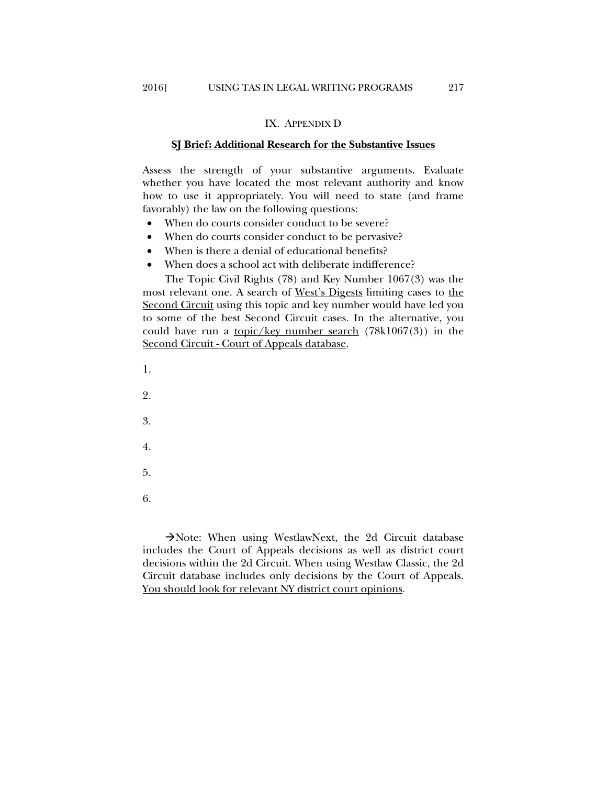#### IX. APPENDIX D

#### **SJ Brief: Additional Research for the Substantive Issues**

Assess the strength of your substantive arguments. Evaluate whether you have located the most relevant authority and know how to use it appropriately. You will need to state (and frame favorably) the law on the following questions:

- When do courts consider conduct to be severe?
- When do courts consider conduct to be pervasive?
- When is there a denial of educational benefits?
- When does a school act with deliberate indifference?

The Topic Civil Rights (78) and Key Number 1067(3) was the most relevant one. A search of West's Digests limiting cases to the Second Circuit using this topic and key number would have led you to some of the best Second Circuit cases. In the alternative, you could have run a <u>topic/key number search</u>  $(78k1067(3))$  in the Second Circuit - Court of Appeals database.

1.

2.

3.

- 4.
- 
- 5.
- 6.

Note: When using WestlawNext, the 2d Circuit database includes the Court of Appeals decisions as well as district court decisions within the 2d Circuit. When using Westlaw Classic, the 2d Circuit database includes only decisions by the Court of Appeals. You should look for relevant NY district court opinions.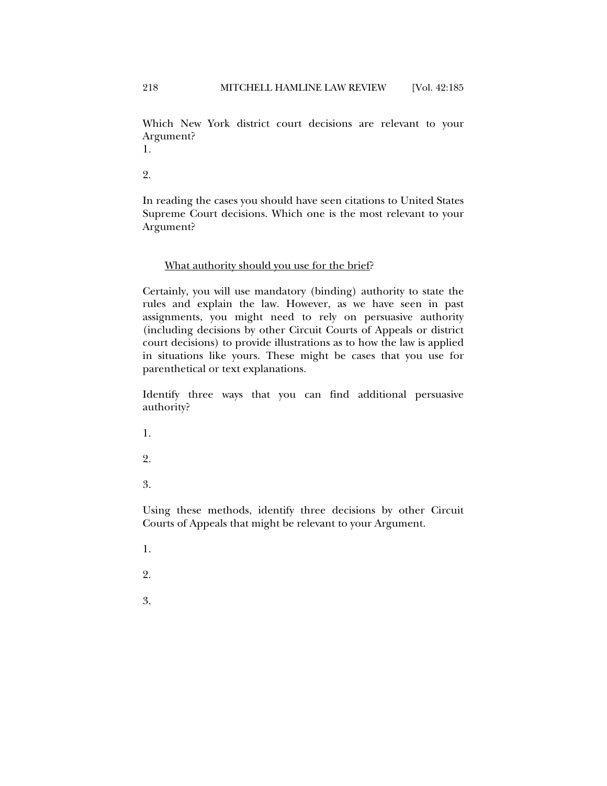Which New York district court decisions are relevant to your Argument?

1.

2.

In reading the cases you should have seen citations to United States Supreme Court decisions. Which one is the most relevant to your Argument?

## What authority should you use for the brief?

Certainly, you will use mandatory (binding) authority to state the rules and explain the law. However, as we have seen in past assignments, you might need to rely on persuasive authority (including decisions by other Circuit Courts of Appeals or district court decisions) to provide illustrations as to how the law is applied in situations like yours. These might be cases that you use for parenthetical or text explanations.

Identify three ways that you can find additional persuasive authority?

1.

2.

3.

Using these methods, identify three decisions by other Circuit Courts of Appeals that might be relevant to your Argument.

- 1.
- 2.
- 3.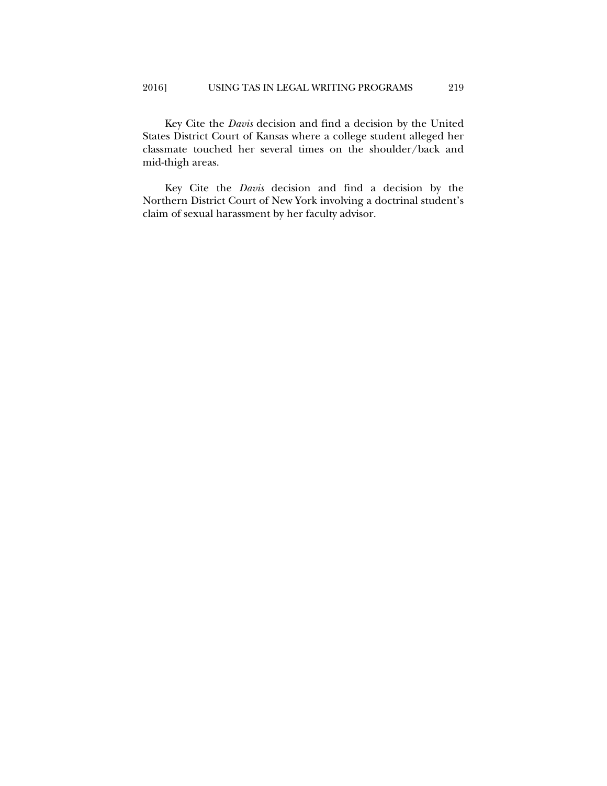Key Cite the *Davis* decision and find a decision by the United States District Court of Kansas where a college student alleged her classmate touched her several times on the shoulder/back and mid-thigh areas.

Key Cite the *Davis* decision and find a decision by the Northern District Court of New York involving a doctrinal student's claim of sexual harassment by her faculty advisor.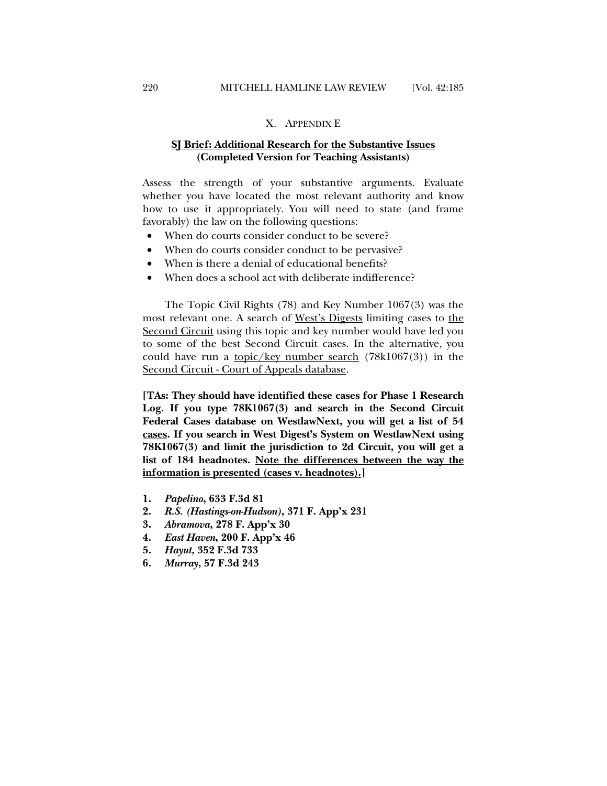#### X. APPENDIX E

## **SJ Brief: Additional Research for the Substantive Issues (Completed Version for Teaching Assistants)**

Assess the strength of your substantive arguments. Evaluate whether you have located the most relevant authority and know how to use it appropriately. You will need to state (and frame favorably) the law on the following questions:

- When do courts consider conduct to be severe?
- When do courts consider conduct to be pervasive?
- When is there a denial of educational benefits?
- When does a school act with deliberate indifference?

The Topic Civil Rights (78) and Key Number 1067(3) was the most relevant one. A search of West's Digests limiting cases to the Second Circuit using this topic and key number would have led you to some of the best Second Circuit cases. In the alternative, you could have run a <u>topic/key number search</u> (78k1067(3)) in the Second Circuit - Court of Appeals database.

**[TAs: They should have identified these cases for Phase 1 Research Log. If you type 78K1067(3) and search in the Second Circuit Federal Cases database on WestlawNext, you will get a list of 54 cases. If you search in West Digest's System on WestlawNext using 78K1067(3) and limit the jurisdiction to 2d Circuit, you will get a list of 184 headnotes. Note the differences between the way the information is presented (cases v. headnotes).]** 

- **1.** *Papelino***, 633 F.3d 81**
- **2.** *R.S. (Hastings-on-Hudson)***, 371 F. App'x 231**
- **3.** *Abramova***, 278 F. App'x 30**
- **4.** *East Haven***, 200 F. App'x 46**
- **5.** *Hayut***, 352 F.3d 733**
- **6.** *Murray***, 57 F.3d 243**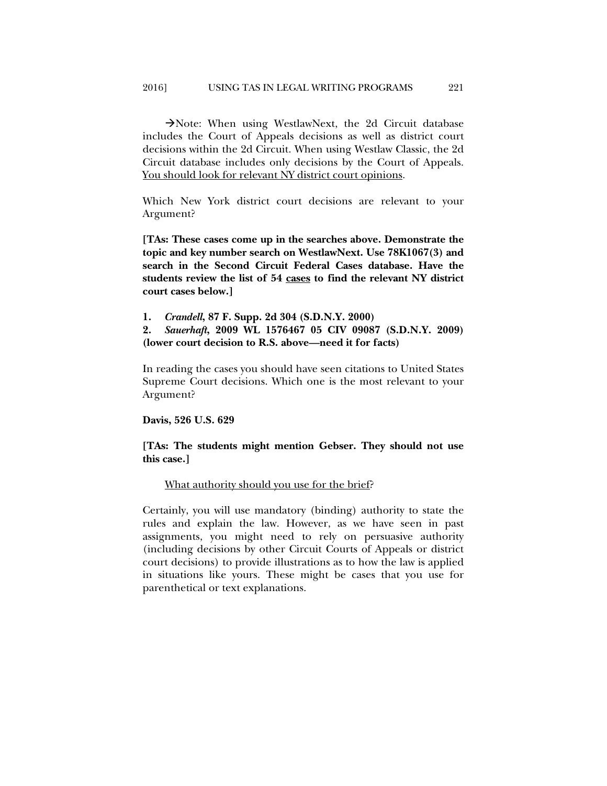Note: When using WestlawNext, the 2d Circuit database includes the Court of Appeals decisions as well as district court decisions within the 2d Circuit. When using Westlaw Classic, the 2d Circuit database includes only decisions by the Court of Appeals. You should look for relevant NY district court opinions.

Which New York district court decisions are relevant to your Argument?

**[TAs: These cases come up in the searches above. Demonstrate the topic and key number search on WestlawNext. Use 78K1067(3) and search in the Second Circuit Federal Cases database. Have the students review the list of 54 cases to find the relevant NY district court cases below.]** 

**1.** *Crandell***, 87 F. Supp. 2d 304 (S.D.N.Y. 2000)** 

**2.** *Sauerhaft***, 2009 WL 1576467 05 CIV 09087 (S.D.N.Y. 2009) (lower court decision to R.S. above—need it for facts)** 

In reading the cases you should have seen citations to United States Supreme Court decisions. Which one is the most relevant to your Argument?

**Davis, 526 U.S. 629** 

## **[TAs: The students might mention Gebser. They should not use this case.]**

## What authority should you use for the brief?

Certainly, you will use mandatory (binding) authority to state the rules and explain the law. However, as we have seen in past assignments, you might need to rely on persuasive authority (including decisions by other Circuit Courts of Appeals or district court decisions) to provide illustrations as to how the law is applied in situations like yours. These might be cases that you use for parenthetical or text explanations.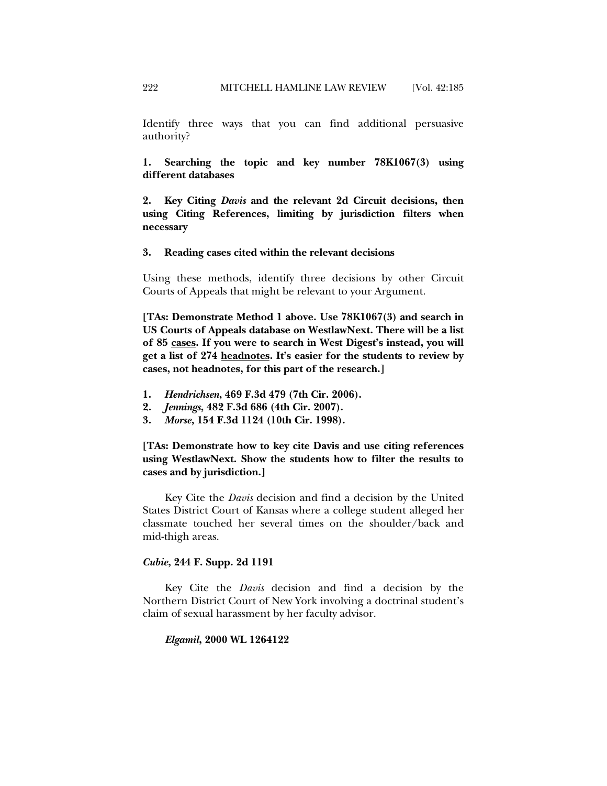Identify three ways that you can find additional persuasive authority?

**1. Searching the topic and key number 78K1067(3) using different databases** 

**2. Key Citing** *Davis* **and the relevant 2d Circuit decisions, then using Citing References, limiting by jurisdiction filters when necessary** 

#### **3. Reading cases cited within the relevant decisions**

Using these methods, identify three decisions by other Circuit Courts of Appeals that might be relevant to your Argument.

**[TAs: Demonstrate Method 1 above. Use 78K1067(3) and search in US Courts of Appeals database on WestlawNext. There will be a list of 85 cases. If you were to search in West Digest's instead, you will get a list of 274 headnotes. It's easier for the students to review by cases, not headnotes, for this part of the research.]** 

- **1.** *Hendrichsen***, 469 F.3d 479 (7th Cir. 2006).**
- **2.** *Jennings***, 482 F.3d 686 (4th Cir. 2007).**
- **3.** *Morse***, 154 F.3d 1124 (10th Cir. 1998).**

**[TAs: Demonstrate how to key cite Davis and use citing references using WestlawNext. Show the students how to filter the results to cases and by jurisdiction.]** 

Key Cite the *Davis* decision and find a decision by the United States District Court of Kansas where a college student alleged her classmate touched her several times on the shoulder/back and mid-thigh areas.

## *Cubie***, 244 F. Supp. 2d 1191**

Key Cite the *Davis* decision and find a decision by the Northern District Court of New York involving a doctrinal student's claim of sexual harassment by her faculty advisor.

#### *Elgamil***, 2000 WL 1264122**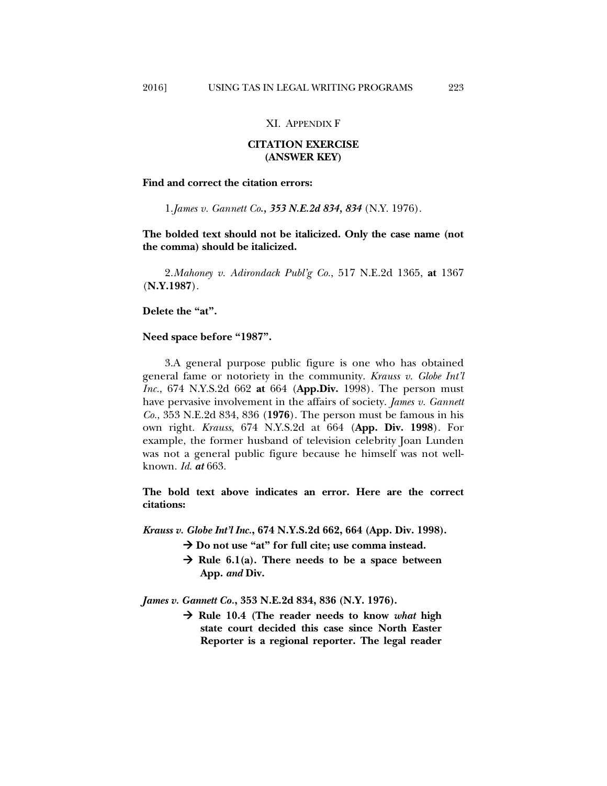## **CITATION EXERCISE (ANSWER KEY)**

**Find and correct the citation errors:** 

1. *James v. Gannett Co., 353 N.E.2d 834, 834* (N.Y. 1976).

**The bolded text should not be italicized. Only the case name (not the comma) should be italicized.** 

2. *Mahoney v. Adirondack Publ'g Co.*, 517 N.E.2d 1365, **at** 1367 (**N.Y.1987**).

**Delete the "at".** 

#### **Need space before "1987".**

3. A general purpose public figure is one who has obtained general fame or notoriety in the community. *Krauss v. Globe Int'l Inc.*, 674 N.Y.S.2d 662 **at** 664 (**App.Div.** 1998). The person must have pervasive involvement in the affairs of society. *James v. Gannett Co.*, 353 N.E.2d 834, 836 (**1976**). The person must be famous in his own right. *Krauss*, 674 N.Y.S.2d at 664 (**App. Div. 1998**). For example, the former husband of television celebrity Joan Lunden was not a general public figure because he himself was not wellknown. *Id*. *at* 663.

**The bold text above indicates an error. Here are the correct citations:** 

*Krauss v. Globe Int'l Inc.***, 674 N.Y.S.2d 662, 664 (App. Div. 1998).** 

- → Do not use "at" for full cite; use comma instead.
- $\rightarrow$  Rule 6.1(a). There needs to be a space between **App.** *and* **Div.**

*James v. Gannett Co.***, 353 N.E.2d 834, 836 (N.Y. 1976).** 

 **Rule 10.4 (The reader needs to know** *what* **high state court decided this case since North Easter Reporter is a regional reporter. The legal reader**